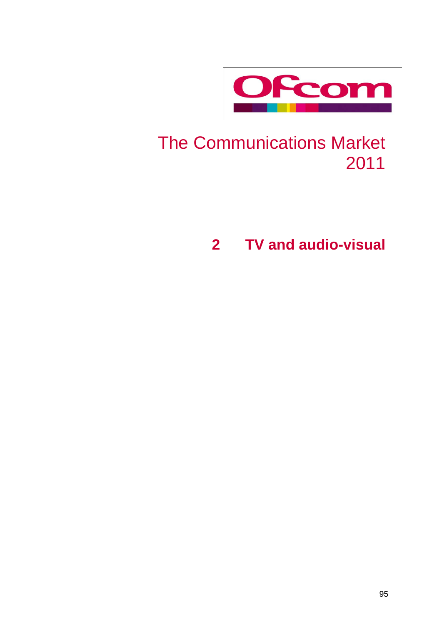

# The Communications Market

**TV and audio-visual**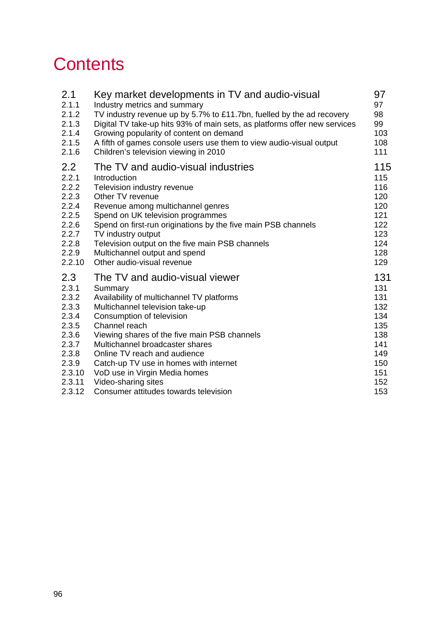# **Contents**

| 2.1              | Key market developments in TV and audio-visual                            | 97  |
|------------------|---------------------------------------------------------------------------|-----|
| 2.1.1            | Industry metrics and summary                                              | 97  |
| 2.1.2            | TV industry revenue up by 5.7% to £11.7bn, fuelled by the ad recovery     | 98  |
| 2.1.3            | Digital TV take-up hits 93% of main sets, as platforms offer new services | 99  |
| 2.1.4            | Growing popularity of content on demand                                   | 103 |
| 2.1.5            | A fifth of games console users use them to view audio-visual output       | 108 |
| 2.1.6            | Children's television viewing in 2010                                     | 111 |
| $2.2\phantom{0}$ | The TV and audio-visual industries                                        | 115 |
| 2.2.1            | Introduction                                                              | 115 |
| 2.2.2            | Television industry revenue                                               | 116 |
| 2.2.3            | Other TV revenue                                                          | 120 |
| 2.2.4            | Revenue among multichannel genres                                         | 120 |
| 2.2.5            | Spend on UK television programmes                                         | 121 |
| 2.2.6            | Spend on first-run originations by the five main PSB channels             | 122 |
| 2.2.7            | TV industry output                                                        | 123 |
| 2.2.8            | Television output on the five main PSB channels                           | 124 |
| 2.2.9            | Multichannel output and spend                                             | 128 |
| 2.2.10           | Other audio-visual revenue                                                | 129 |
| 2.3              | The TV and audio-visual viewer                                            | 131 |
| 2.3.1            | Summary                                                                   | 131 |
| 2.3.2            | Availability of multichannel TV platforms                                 | 131 |
| 2.3.3            | Multichannel television take-up                                           | 132 |
| 2.3.4            | Consumption of television                                                 | 134 |
| 2.3.5            | Channel reach                                                             | 135 |
| 2.3.6            | Viewing shares of the five main PSB channels                              | 138 |
| 2.3.7            | Multichannel broadcaster shares                                           | 141 |
| 2.3.8            | Online TV reach and audience                                              | 149 |
| 2.3.9            | Catch-up TV use in homes with internet                                    | 150 |
| 2.3.10           | VoD use in Virgin Media homes                                             | 151 |
| 2.3.11           | Video-sharing sites                                                       | 152 |
| 2.3.12           | Consumer attitudes towards television                                     | 153 |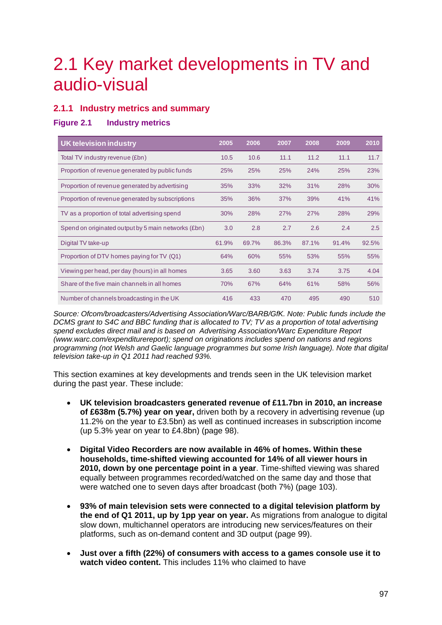# <span id="page-2-0"></span>2.1 Key market developments in TV and audio-visual

# <span id="page-2-1"></span>**2.1.1 Industry metrics and summary**

# **Figure 2.1 Industry metrics**

| <b>UK television industry</b>                       | 2005       | 2006  | 2007  | 2008  | 2009  | 2010  |
|-----------------------------------------------------|------------|-------|-------|-------|-------|-------|
| Total TV industry revenue (£bn)                     | 10.5       | 10.6  | 11.1  | 11.2  | 11.1  | 11.7  |
| Proportion of revenue generated by public funds     | <b>25%</b> | 25%   | 25%   | 24%   | 25%   | 23%   |
| Proportion of revenue generated by advertising      | 35%        | 33%   | 32%   | 31%   | 28%   | 30%   |
| Proportion of revenue generated by subscriptions    | 35%        | 36%   | 37%   | 39%   | 41%   | 41%   |
| TV as a proportion of total advertising spend       | 30%        | 28%   | 27%   | 27%   | 28%   | 29%   |
| Spend on originated output by 5 main networks (£bn) | 3.0        | 2.8   | 2.7   | 2.6   | 2.4   | 2.5   |
| Digital TV take-up                                  | 61.9%      | 69.7% | 86.3% | 87.1% | 91.4% | 92.5% |
| Proportion of DTV homes paying for TV (Q1)          | 64%        | 60%   | 55%   | 53%   | 55%   | 55%   |
| Viewing per head, per day (hours) in all homes      | 3.65       | 3.60  | 3.63  | 3.74  | 3.75  | 4.04  |
| Share of the five main channels in all homes        | 70%        | 67%   | 64%   | 61%   | 58%   | 56%   |
| Number of channels broadcasting in the UK           | 416        | 433   | 470   | 495   | 490   | 510   |

*Source: Ofcom/broadcasters/Advertising Association/Warc/BARB/GfK. Note: Public funds include the DCMS grant to S4C and BBC funding that is allocated to TV; TV as a proportion of total advertising spend excludes direct mail and is based on Advertising Association/Warc Expenditure Report (www.warc.com/expenditurereport); spend on originations includes spend on nations and regions programming (not Welsh and Gaelic language programmes but some Irish language). Note that digital television take-up in Q1 2011 had reached 93%.*

This section examines at key developments and trends seen in the UK television market during the past year. These include:

- **UK television broadcasters generated revenue of £11.7bn in 2010, an increase of £638m (5.7%) year on year,** driven both by a recovery in advertising revenue (up 11.2% on the year to £3.5bn) as well as continued increases in subscription income (up 5.3% year on year to £4.8bn) (page [98\)](#page-3-1).
- **Digital Video Recorders are now available in 46% of homes. Within these households, time-shifted viewing accounted for 14% of all viewer hours in 2010, down by one percentage point in a year**. Time-shifted viewing was shared equally between programmes recorded/watched on the same day and those that were watched one to seven days after broadcast (both 7%) (page [103\)](#page-8-0).
- **93% of main television sets were connected to a digital television platform by the end of Q1 2011, up by 1pp year on year.** As migrations from analogue to digital slow down, multichannel operators are introducing new services/features on their platforms, such as on-demand content and 3D output (page [99\)](#page-4-0).
- **Just over a fifth (22%) of consumers with access to a games console use it to watch video content.** This includes 11% who claimed to have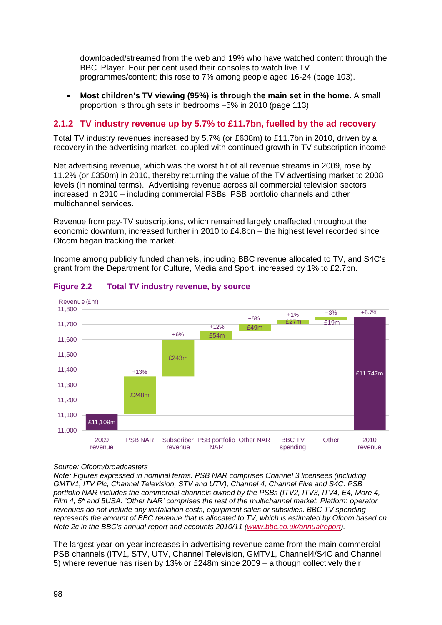downloaded/streamed from the web and 19% who have watched content through the BBC iPlayer. Four per cent used their consoles to watch live TV programmes/content; this rose to 7% among people aged 16-24 (page [103\)](#page-8-0).

• **Most children's TV viewing (95%) is through the main set in the home.** A small proportion is through sets in bedrooms –5% in 2010 (page [113\)](#page-18-0).

# <span id="page-3-0"></span>**2.1.2 TV industry revenue up by 5.7% to £11.7bn, fuelled by the ad recovery**

Total TV industry revenues increased by 5.7% (or £638m) to £11.7bn in 2010, driven by a recovery in the advertising market, coupled with continued growth in TV subscription income.

Net advertising revenue, which was the worst hit of all revenue streams in 2009, rose by 11.2% (or £350m) in 2010, thereby returning the value of the TV advertising market to 2008 levels (in nominal terms). Advertising revenue across all commercial television sectors increased in 2010 – including commercial PSBs, PSB portfolio channels and other multichannel services.

Revenue from pay-TV subscriptions, which remained largely unaffected throughout the economic downturn, increased further in 2010 to £4.8bn – the highest level recorded since Ofcom began tracking the market.

Income among publicly funded channels, including BBC revenue allocated to TV, and S4C's grant from the Department for Culture, Media and Sport, increased by 1% to £2.7bn.



# <span id="page-3-1"></span>**Figure 2.2 Total TV industry revenue, by source**

#### *Source: Ofcom/broadcasters*

*Note: Figures expressed in nominal terms. PSB NAR comprises Channel 3 licensees (including GMTV1, ITV Plc, Channel Television, STV and UTV), Channel 4, Channel Five and S4C. PSB portfolio NAR includes the commercial channels owned by the PSBs (ITV2, ITV3, ITV4, E4, More 4, Film 4, 5\* and 5USA. 'Other NAR' comprises the rest of the multichannel market. Platform operator revenues do not include any installation costs, equipment sales or subsidies. BBC TV spending represents the amount of BBC revenue that is allocated to TV, which is estimated by Ofcom based on Note 2c in the BBC's annual report and accounts 2010/11 [\(www.bbc.co.uk/annualreport\)](http://www.bbc.co.uk/annualreport).* 

The largest year-on-year increases in advertising revenue came from the main commercial PSB channels (ITV1, STV, UTV, Channel Television, GMTV1, Channel4/S4C and Channel 5) where revenue has risen by 13% or £248m since 2009 – although collectively their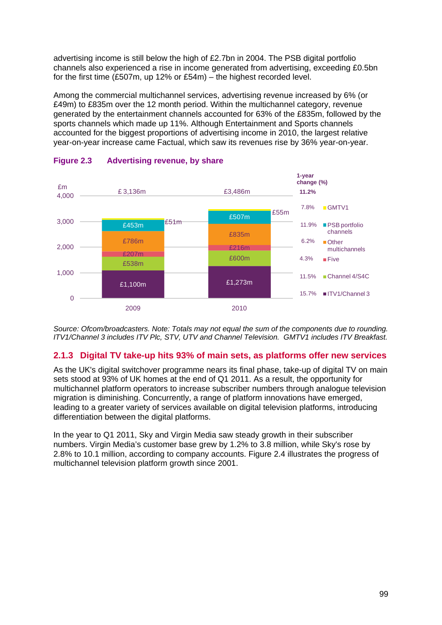advertising income is still below the high of £2.7bn in 2004. The PSB digital portfolio channels also experienced a rise in income generated from advertising, exceeding £0.5bn for the first time (£507m, up 12% or £54m) – the highest recorded level.

Among the commercial multichannel services, advertising revenue increased by 6% (or £49m) to £835m over the 12 month period. Within the multichannel category, revenue generated by the entertainment channels accounted for 63% of the £835m, followed by the sports channels which made up 11%. Although Entertainment and Sports channels accounted for the biggest proportions of advertising income in 2010, the largest relative year-on-year increase came Factual, which saw its revenues rise by 36% year-on-year.



# **Figure 2.3 Advertising revenue, by share**

*Source: Ofcom/broadcasters. Note: Totals may not equal the sum of the components due to rounding. ITV1/Channel 3 includes ITV Plc, STV, UTV and Channel Television. GMTV1 includes ITV Breakfast.*

# <span id="page-4-0"></span>**2.1.3 Digital TV take-up hits 93% of main sets, as platforms offer new services**

As the UK's digital switchover programme nears its final phase, take-up of digital TV on main sets stood at 93% of UK homes at the end of Q1 2011. As a result, the opportunity for multichannel platform operators to increase subscriber numbers through analogue television migration is diminishing. Concurrently, a range of platform innovations have emerged, leading to a greater variety of services available on digital television platforms, introducing differentiation between the digital platforms.

In the year to Q1 2011, Sky and Virgin Media saw steady growth in their subscriber numbers. Virgin Media's customer base grew by 1.2% to 3.8 million, while Sky's rose by 2.8% to 10.1 million, according to company accounts. [Figure 2.4](#page-5-0) illustrates the progress of multichannel television platform growth since 2001.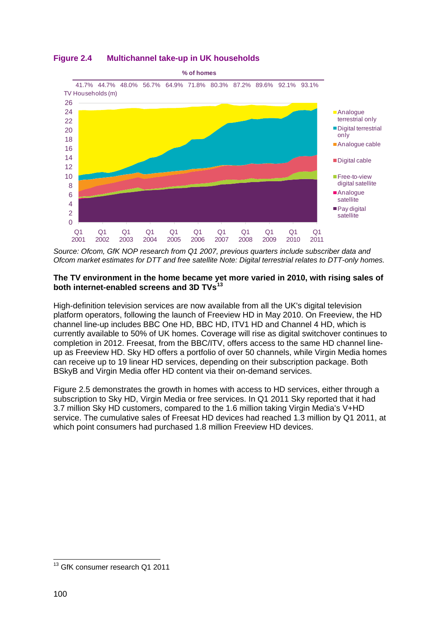

# <span id="page-5-0"></span>**Figure 2.4 Multichannel take-up in UK households**

*Source: Ofcom, GfK NOP research from Q1 2007, previous quarters include subscriber data and Ofcom market estimates for DTT and free satellite Note: Digital terrestrial relates to DTT-only homes.*

## **The TV environment in the home became yet more varied in 2010, with rising sales of both internet-enabled screens and 3D TVs[13](#page-5-1)**

High-definition television services are now available from all the UK's digital television platform operators, following the launch of Freeview HD in May 2010. On Freeview, the HD channel line-up includes BBC One HD, BBC HD, ITV1 HD and Channel 4 HD, which is currently available to 50% of UK homes. Coverage will rise as digital switchover continues to completion in 2012. Freesat, from the BBC/ITV, offers access to the same HD channel lineup as Freeview HD. Sky HD offers a portfolio of over 50 channels, while Virgin Media homes can receive up to 19 linear HD services, depending on their subscription package. Both BSkyB and Virgin Media offer HD content via their on-demand services.

[Figure 2.5](#page-6-0) demonstrates the growth in homes with access to HD services, either through a subscription to Sky HD, Virgin Media or free services. In Q1 2011 Sky reported that it had 3.7 million Sky HD customers, compared to the 1.6 million taking Virgin Media's V+HD service. The cumulative sales of Freesat HD devices had reached 1.3 million by Q1 2011, at which point consumers had purchased 1.8 million Freeview HD devices.

<span id="page-5-1"></span><sup>&</sup>lt;sup>13</sup> GfK consumer research Q1 2011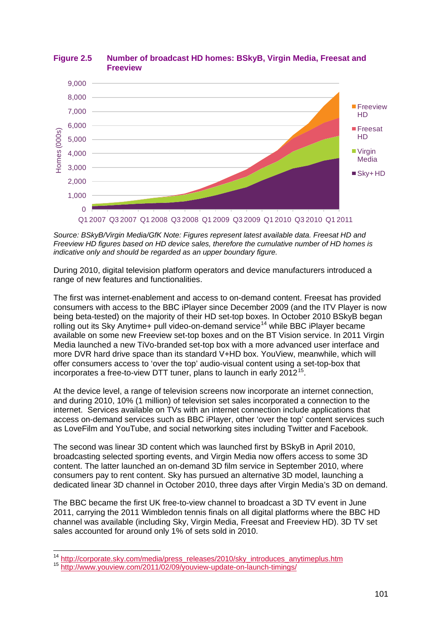

# <span id="page-6-0"></span>**Figure 2.5 Number of broadcast HD homes: BSkyB, Virgin Media, Freesat and Freeview**

*Source: BSkyB/Virgin Media/GfK Note: Figures represent latest available data. Freesat HD and Freeview HD figures based on HD device sales, therefore the cumulative number of HD homes is indicative only and should be regarded as an upper boundary figure.*

During 2010, digital television platform operators and device manufacturers introduced a range of new features and functionalities.

The first was internet-enablement and access to on-demand content. Freesat has provided consumers with access to the BBC iPlayer since December 2009 (and the ITV Player is now being beta-tested) on the majority of their HD set-top boxes. In October 2010 BSkyB began rolling out its Sky Anytime+ pull video-on-demand service<sup>[14](#page-6-1)</sup> while BBC iPlayer became available on some new Freeview set-top boxes and on the BT Vision service. In 2011 Virgin Media launched a new TiVo-branded set-top box with a more advanced user interface and more DVR hard drive space than its standard V+HD box. YouView, meanwhile, which will offer consumers access to 'over the top' audio-visual content using a set-top-box that incorporates a free-to-view DTT tuner, plans to launch in early 2012<sup>[15](#page-6-2)</sup>.

At the device level, a range of television screens now incorporate an internet connection, and during 2010, 10% (1 million) of television set sales incorporated a connection to the internet. Services available on TVs with an internet connection include applications that access on-demand services such as BBC iPlayer, other 'over the top' content services such as LoveFilm and YouTube, and social networking sites including Twitter and Facebook.

The second was linear 3D content which was launched first by BSkyB in April 2010, broadcasting selected sporting events, and Virgin Media now offers access to some 3D content. The latter launched an on-demand 3D film service in September 2010, where consumers pay to rent content. Sky has pursued an alternative 3D model, launching a dedicated linear 3D channel in October 2010, three days after Virgin Media's 3D on demand.

The BBC became the first UK free-to-view channel to broadcast a 3D TV event in June 2011, carrying the 2011 Wimbledon tennis finals on all digital platforms where the BBC HD channel was available (including Sky, Virgin Media, Freesat and Freeview HD). 3D TV set sales accounted for around only 1% of sets sold in 2010.

 $\frac{1}{14}$ <sup>14</sup> [http://corporate.sky.com/media/press\\_releases/2010/sky\\_introduces\\_anytimeplus.htm](http://corporate.sky.com/media/press_releases/2010/sky_introduces_anytimeplus.htm)<br><sup>15</sup> <http://www.youview.com/2011/02/09/youview-update-on-launch-timings/>

<span id="page-6-2"></span><span id="page-6-1"></span>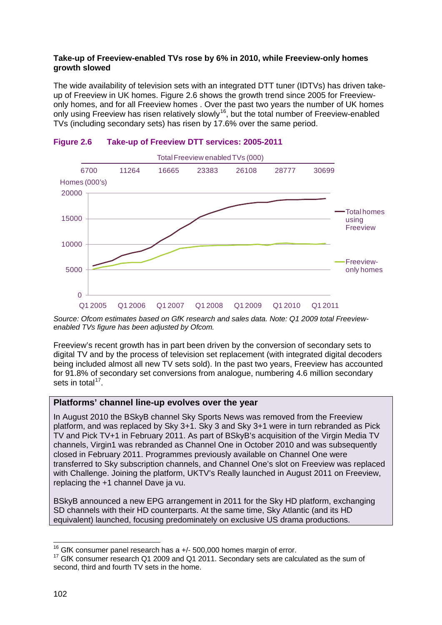## **Take-up of Freeview-enabled TVs rose by 6% in 2010, while Freeview-only homes growth slowed**

The wide availability of television sets with an integrated DTT tuner (IDTVs) has driven takeup of Freeview in UK homes. [Figure 2.6](#page-7-0) shows the growth trend since 2005 for Freeviewonly homes, and for all Freeview homes . Over the past two years the number of UK homes only using Freeview has risen relatively slowly<sup>[16](#page-7-1)</sup>, but the total number of Freeview-enabled TVs (including secondary sets) has risen by 17.6% over the same period.



# <span id="page-7-0"></span>**Figure 2.6 Take-up of Freeview DTT services: 2005-2011**

*Source: Ofcom estimates based on GfK research and sales data. Note: Q1 2009 total Freeviewenabled TVs figure has been adjusted by Ofcom.*

Freeview's recent growth has in part been driven by the conversion of secondary sets to digital TV and by the process of television set replacement (with integrated digital decoders being included almost all new TV sets sold). In the past two years, Freeview has accounted for 91.8% of secondary set conversions from analogue, numbering 4.6 million secondary sets in total<sup>[17](#page-7-2)</sup>.

# **Platforms' channel line-up evolves over the year**

In August 2010 the BSkyB channel Sky Sports News was removed from the Freeview platform, and was replaced by Sky 3+1. Sky 3 and Sky 3+1 were in turn rebranded as Pick TV and Pick TV+1 in February 2011. As part of BSkyB's acquisition of the Virgin Media TV channels, Virgin1 was rebranded as Channel One in October 2010 and was subsequently closed in February 2011. Programmes previously available on Channel One were transferred to Sky subscription channels, and Channel One's slot on Freeview was replaced with Challenge. Joining the platform, UKTV's Really launched in August 2011 on Freeview, replacing the +1 channel Dave ja vu.

BSkyB announced a new EPG arrangement in 2011 for the Sky HD platform, exchanging SD channels with their HD counterparts. At the same time, Sky Atlantic (and its HD equivalent) launched, focusing predominately on exclusive US drama productions.

<span id="page-7-2"></span><span id="page-7-1"></span><sup>&</sup>lt;sup>16</sup> GfK consumer panel research has a  $+/-$  500,000 homes margin of error.<br><sup>17</sup> GfK consumer research Q1 2009 and Q1 2011. Secondary sets are calculated as the sum of second, third and fourth TV sets in the home.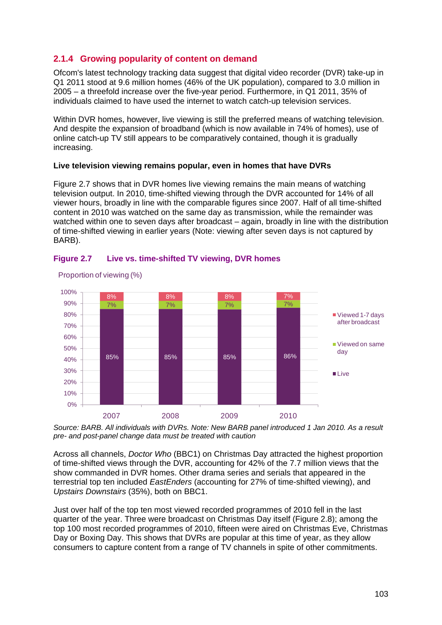# <span id="page-8-0"></span>**2.1.4 Growing popularity of content on demand**

Ofcom's latest technology tracking data suggest that digital video recorder (DVR) take-up in Q1 2011 stood at 9.6 million homes (46% of the UK population), compared to 3.0 million in 2005 – a threefold increase over the five-year period. Furthermore, in Q1 2011, 35% of individuals claimed to have used the internet to watch catch-up television services.

Within DVR homes, however, live viewing is still the preferred means of watching television. And despite the expansion of broadband (which is now available in 74% of homes), use of online catch-up TV still appears to be comparatively contained, though it is gradually increasing.

# **Live television viewing remains popular, even in homes that have DVRs**

[Figure 2.7](#page-8-1) shows that in DVR homes live viewing remains the main means of watching television output. In 2010, time-shifted viewing through the DVR accounted for 14% of all viewer hours, broadly in line with the comparable figures since 2007. Half of all time-shifted content in 2010 was watched on the same day as transmission, while the remainder was watched within one to seven days after broadcast – again, broadly in line with the distribution of time-shifted viewing in earlier years (Note: viewing after seven days is not captured by BARB).



## <span id="page-8-1"></span>**Figure 2.7 Live vs. time-shifted TV viewing, DVR homes**

Proportion of viewing (%)

*Source: BARB. All individuals with DVRs. Note: New BARB panel introduced 1 Jan 2010. As a result pre- and post-panel change data must be treated with caution* 

Across all channels, *Doctor Who* (BBC1) on Christmas Day attracted the highest proportion of time-shifted views through the DVR, accounting for 42% of the 7.7 million views that the show commanded in DVR homes. Other drama series and serials that appeared in the terrestrial top ten included *EastEnders* (accounting for 27% of time-shifted viewing), and *Upstairs Downstairs* (35%), both on BBC1.

Just over half of the top ten most viewed recorded programmes of 2010 fell in the last quarter of the year. Three were broadcast on Christmas Day itself [\(Figure 2.8\)](#page-9-0); among the top 100 most recorded programmes of 2010, fifteen were aired on Christmas Eve, Christmas Day or Boxing Day. This shows that DVRs are popular at this time of year, as they allow consumers to capture content from a range of TV channels in spite of other commitments.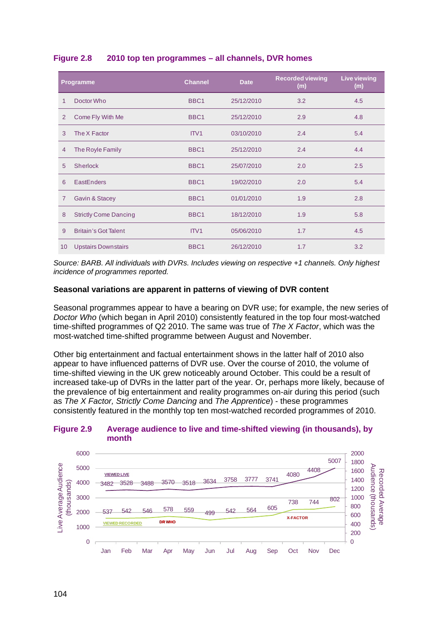| Programme      |                              | <b>Channel</b>   | <b>Date</b> | <b>Recorded viewing</b><br>(m) | <b>Live viewing</b><br>(m) |
|----------------|------------------------------|------------------|-------------|--------------------------------|----------------------------|
| 1              | Doctor Who                   | BBC <sub>1</sub> | 25/12/2010  | 3.2                            | 4.5                        |
| 2              | Come Fly With Me             | BBC <sub>1</sub> | 25/12/2010  | 2.9                            | 4.8                        |
| 3              | The X Factor                 | ITV1             | 03/10/2010  | 2.4                            | 5.4                        |
| $\overline{4}$ | The Royle Family             | BBC <sub>1</sub> | 25/12/2010  | 2.4                            | 4.4                        |
| 5              | <b>Sherlock</b>              | BBC <sub>1</sub> | 25/07/2010  | 2.0                            | 2.5                        |
| 6              | <b>EastEnders</b>            | BBC <sub>1</sub> | 19/02/2010  | 2.0                            | 5.4                        |
| $\overline{7}$ | Gavin & Stacey               | BBC <sub>1</sub> | 01/01/2010  | 1.9                            | 2.8                        |
| 8              | <b>Strictly Come Dancing</b> | BBC1             | 18/12/2010  | 1.9                            | 5.8                        |
| 9              | <b>Britain's Got Talent</b>  | ITV <sub>1</sub> | 05/06/2010  | 1.7                            | 4.5                        |
| 10             | <b>Upstairs Downstairs</b>   | BBC <sub>1</sub> | 26/12/2010  | 1.7                            | 3.2                        |

# <span id="page-9-0"></span>**Figure 2.8 2010 top ten programmes – all channels, DVR homes**

*Source: BARB. All individuals with DVRs. Includes viewing on respective +1 channels. Only highest incidence of programmes reported.* 

## **Seasonal variations are apparent in patterns of viewing of DVR content**

Seasonal programmes appear to have a bearing on DVR use; for example, the new series of *Doctor Who* (which began in April 2010) consistently featured in the top four most-watched time-shifted programmes of Q2 2010. The same was true of *The X Factor*, which was the most-watched time-shifted programme between August and November.

Other big entertainment and factual entertainment shows in the latter half of 2010 also appear to have influenced patterns of DVR use. Over the course of 2010, the volume of time-shifted viewing in the UK grew noticeably around October. This could be a result of increased take-up of DVRs in the latter part of the year. Or, perhaps more likely, because of the prevalence of big entertainment and reality programmes on-air during this period (such as *The X Factor, Strictly Come Dancing* and *The Apprentice*) - these programmes consistently featured in the monthly top ten most-watched recorded programmes of 2010.

#### **Figure 2.9 Average audience to live and time-shifted viewing (in thousands), by month**

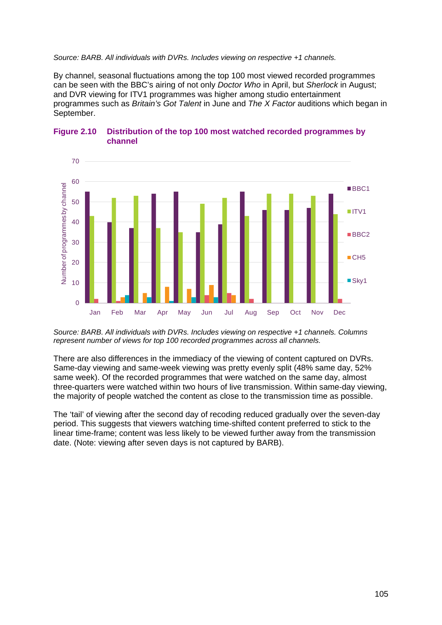#### *Source: BARB. All individuals with DVRs. Includes viewing on respective +1 channels.*

By channel, seasonal fluctuations among the top 100 most viewed recorded programmes can be seen with the BBC's airing of not only *Doctor Who* in April, but *Sherlock* in August; and DVR viewing for ITV1 programmes was higher among studio entertainment programmes such as *Britain's Got Talent* in June and *The X Factor* auditions which began in September.



#### **Figure 2.10 Distribution of the top 100 most watched recorded programmes by channel**

*Source: BARB. All individuals with DVRs. Includes viewing on respective +1 channels. Columns represent number of views for top 100 recorded programmes across all channels.* 

There are also differences in the immediacy of the viewing of content captured on DVRs. Same-day viewing and same-week viewing was pretty evenly split (48% same day, 52% same week). Of the recorded programmes that were watched on the same day, almost three-quarters were watched within two hours of live transmission. Within same-day viewing, the majority of people watched the content as close to the transmission time as possible.

The 'tail' of viewing after the second day of recoding reduced gradually over the seven-day period. This suggests that viewers watching time-shifted content preferred to stick to the linear time-frame; content was less likely to be viewed further away from the transmission date. (Note: viewing after seven days is not captured by BARB).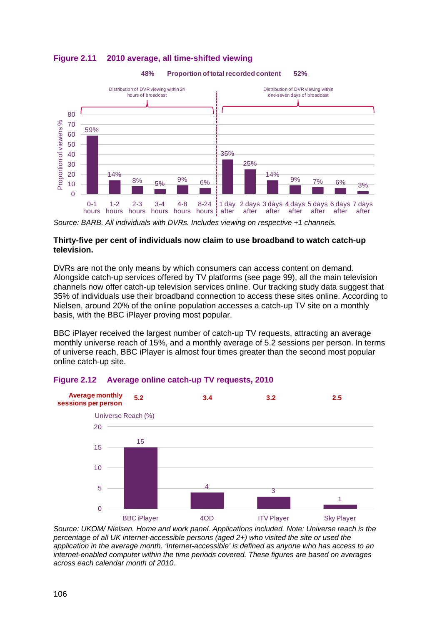

# **Figure 2.11 2010 average, all time-shifted viewing**



## **Thirty-five per cent of individuals now claim to use broadband to watch catch-up television.**

DVRs are not the only means by which consumers can access content on demand. Alongside catch-up services offered by TV platforms (see page [99\)](#page-4-0), all the main television channels now offer catch-up television services online. Our tracking study data suggest that 35% of individuals use their broadband connection to access these sites online. According to Nielsen, around 20% of the online population accesses a catch-up TV site on a monthly basis, with the BBC iPlayer proving most popular.

BBC iPlayer received the largest number of catch-up TV requests, attracting an average monthly universe reach of 15%, and a monthly average of 5.2 sessions per person. In terms of universe reach, BBC iPlayer is almost four times greater than the second most popular online catch-up site.





*Source: UKOM/ Nielsen. Home and work panel. Applications included. Note: Universe reach is the percentage of all UK internet-accessible persons (aged 2+) who visited the site or used the application in the average month. 'Internet-accessible' is defined as anyone who has access to an internet-enabled computer within the time periods covered. These figures are based on averages across each calendar month of 2010.* 

*Source: BARB. All individuals with DVRs. Includes viewing on respective +1 channels.*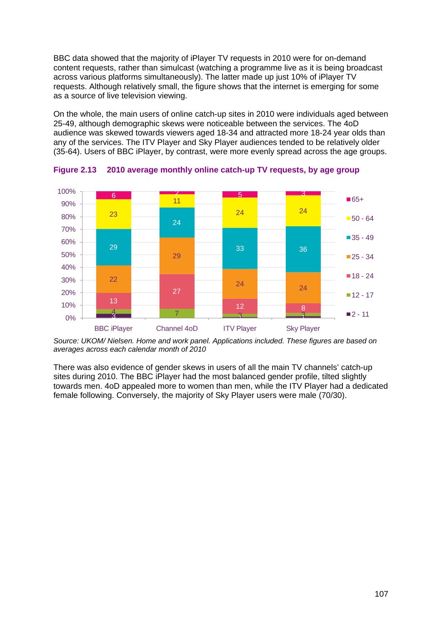BBC data showed that the majority of iPlayer TV requests in 2010 were for on-demand content requests, rather than simulcast (watching a programme live as it is being broadcast across various platforms simultaneously). The latter made up just 10% of iPlayer TV requests. Although relatively small, the figure shows that the internet is emerging for some as a source of live television viewing.

On the whole, the main users of online catch-up sites in 2010 were individuals aged between 25-49, although demographic skews were noticeable between the services. The 4oD audience was skewed towards viewers aged 18-34 and attracted more 18-24 year olds than any of the services. The ITV Player and Sky Player audiences tended to be relatively older (35-64). Users of BBC iPlayer, by contrast, were more evenly spread across the age groups.



**Figure 2.13 2010 average monthly online catch-up TV requests, by age group** 

*Source: UKOM/ Nielsen. Home and work panel. Applications included. These figures are based on averages across each calendar month of 2010*

There was also evidence of gender skews in users of all the main TV channels' catch-up sites during 2010. The BBC iPlayer had the most balanced gender profile, tilted slightly towards men. 4oD appealed more to women than men, while the ITV Player had a dedicated female following. Conversely, the majority of Sky Player users were male (70/30).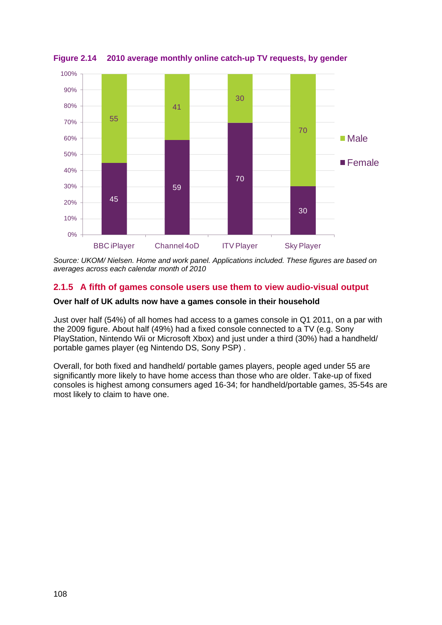

**Figure 2.14 2010 average monthly online catch-up TV requests, by gender** 

*Source: UKOM/ Nielsen. Home and work panel. Applications included. These figures are based on averages across each calendar month of 2010*

# <span id="page-13-0"></span>**2.1.5 A fifth of games console users use them to view audio-visual output**

## **Over half of UK adults now have a games console in their household**

Just over half (54%) of all homes had access to a games console in Q1 2011, on a par with the 2009 figure. About half (49%) had a fixed console connected to a TV (e.g. Sony PlayStation, Nintendo Wii or Microsoft Xbox) and just under a third (30%) had a handheld/ portable games player (eg Nintendo DS, Sony PSP) .

Overall, for both fixed and handheld/ portable games players, people aged under 55 are significantly more likely to have home access than those who are older. Take-up of fixed consoles is highest among consumers aged 16-34; for handheld/portable games, 35-54s are most likely to claim to have one.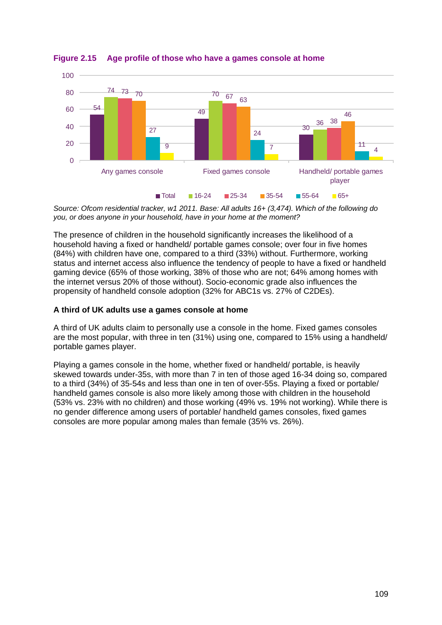

**Figure 2.15 Age profile of those who have a games console at home**

*Source: Ofcom residential tracker, w1 2011. Base: All adults 16+ (3,474). Which of the following do you, or does anyone in your household, have in your home at the moment?*

The presence of children in the household significantly increases the likelihood of a household having a fixed or handheld/ portable games console; over four in five homes (84%) with children have one, compared to a third (33%) without. Furthermore, working status and internet access also influence the tendency of people to have a fixed or handheld gaming device (65% of those working, 38% of those who are not; 64% among homes with the internet versus 20% of those without). Socio-economic grade also influences the propensity of handheld console adoption (32% for ABC1s vs. 27% of C2DEs).

## **A third of UK adults use a games console at home**

A third of UK adults claim to personally use a console in the home. Fixed games consoles are the most popular, with three in ten (31%) using one, compared to 15% using a handheld/ portable games player.

Playing a games console in the home, whether fixed or handheld/ portable, is heavily skewed towards under-35s, with more than 7 in ten of those aged 16-34 doing so, compared to a third (34%) of 35-54s and less than one in ten of over-55s. Playing a fixed or portable/ handheld games console is also more likely among those with children in the household (53% vs. 23% with no children) and those working (49% vs. 19% not working). While there is no gender difference among users of portable/ handheld games consoles, fixed games consoles are more popular among males than female (35% vs. 26%).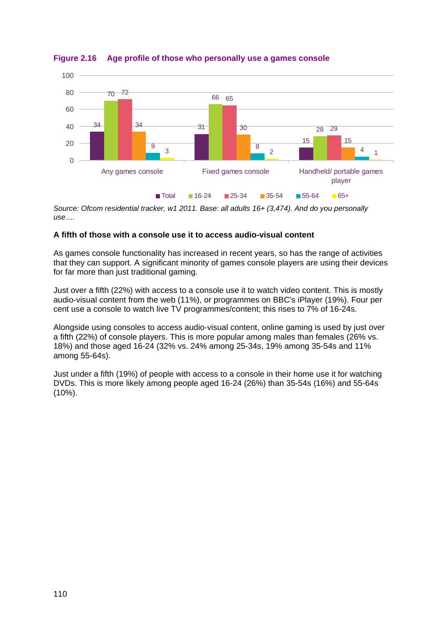

**Figure 2.16 Age profile of those who personally use a games console** 

*Source: Ofcom residential tracker, w1 2011. Base: all adults 16+ (3,474). And do you personally use….*

# **A fifth of those with a console use it to access audio-visual content**

As games console functionality has increased in recent years, so has the range of activities that they can support. A significant minority of games console players are using their devices for far more than just traditional gaming.

Just over a fifth (22%) with access to a console use it to watch video content. This is mostly audio-visual content from the web (11%), or programmes on BBC's iPlayer (19%). Four per cent use a console to watch live TV programmes/content; this rises to 7% of 16-24s.

Alongside using consoles to access audio-visual content, online gaming is used by just over a fifth (22%) of console players. This is more popular among males than females (26% vs. 18%) and those aged 16-24 (32% vs. 24% among 25-34s, 19% among 35-54s and 11% among 55-64s).

Just under a fifth (19%) of people with access to a console in their home use it for watching DVDs. This is more likely among people aged 16-24 (26%) than 35-54s (16%) and 55-64s (10%).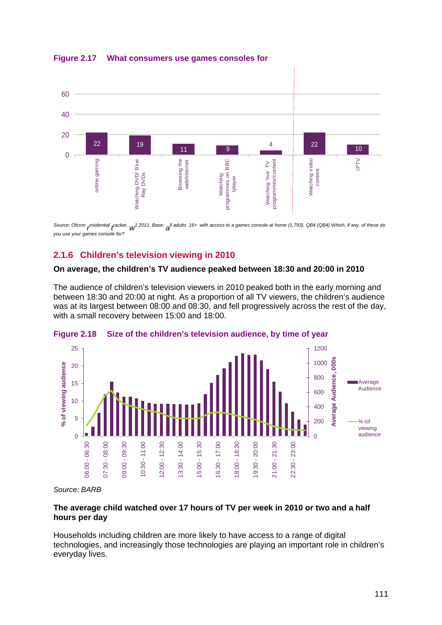60 40 20 22 19  $\frac{4}{10}$  22  $\frac{22}{10}$  10 11 9  $\Omega$ IPTV online gaming Watching DVD/ Blue Browsing the programmes on BBC Watching 'live' TV<br>programmes/content Watching video Watching video online gaming Watching DVD/ Blue Browsing the web/internet programmes on BBC programmes/content web/internet Watching 'live' TV content Ray DVDs Ray DVDs Watching Iplayer

**Figure 2.17 What consumers use games consoles for**

Source: Ofcom <sub>r</sub>esidential *racker, w*<sup>1</sup> 2011. Base: all adults 16+ with access to a games console at home (1,793). QB4 (QB4) Which, if any, of these do *you use your games console for?*

# <span id="page-16-0"></span>**2.1.6 Children's television viewing in 2010**

## **On average, the children's TV audience peaked between 18:30 and 20:00 in 2010**

The audience of children's television viewers in 2010 peaked both in the early morning and between 18:30 and 20:00 at night. As a proportion of all TV viewers, the children's audience was at its largest between 08:00 and 08:30, and fell progressively across the rest of the day, with a small recovery between 15:00 and 18:00.





*Source: BARB*

## **The average child watched over 17 hours of TV per week in 2010 or two and a half hours per day**

Households including children are more likely to have access to a range of digital technologies, and increasingly those technologies are playing an important role in children's everyday lives.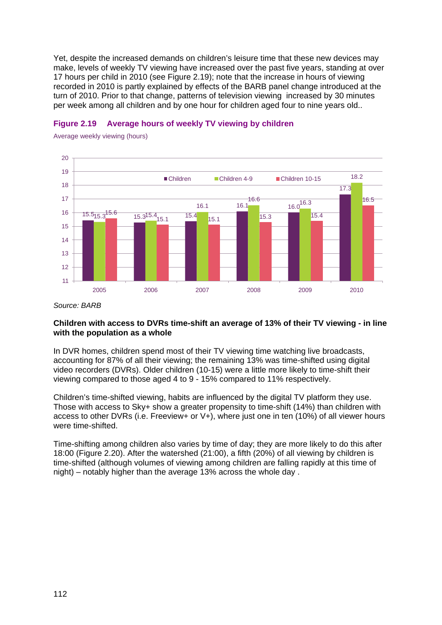Yet, despite the increased demands on children's leisure time that these new devices may make, levels of weekly TV viewing have increased over the past five years, standing at over 17 hours per child in 2010 (see [Figure 2.19\)](#page-17-0); note that the increase in hours of viewing recorded in 2010 is partly explained by effects of the BARB panel change introduced at the turn of 2010. Prior to that change, patterns of television viewing increased by 30 minutes per week among all children and by one hour for children aged four to nine years old..



# <span id="page-17-0"></span>**Figure 2.19 Average hours of weekly TV viewing by children**

Average weekly viewing (hours)

*Source: BARB*

## **Children with access to DVRs time-shift an average of 13% of their TV viewing - in line with the population as a whole**

In DVR homes, children spend most of their TV viewing time watching live broadcasts, accounting for 87% of all their viewing; the remaining 13% was time-shifted using digital video recorders (DVRs). Older children (10-15) were a little more likely to time-shift their viewing compared to those aged 4 to 9 - 15% compared to 11% respectively.

Children's time-shifted viewing, habits are influenced by the digital TV platform they use. Those with access to Sky+ show a greater propensity to time-shift (14%) than children with access to other DVRs (i.e. Freeview+ or V+), where just one in ten (10%) of all viewer hours were time-shifted.

Time-shifting among children also varies by time of day; they are more likely to do this after 18:00 [\(Figure 2.20\)](#page-18-1). After the watershed (21:00), a fifth (20%) of all viewing by children is time-shifted (although volumes of viewing among children are falling rapidly at this time of night) – notably higher than the average 13% across the whole day .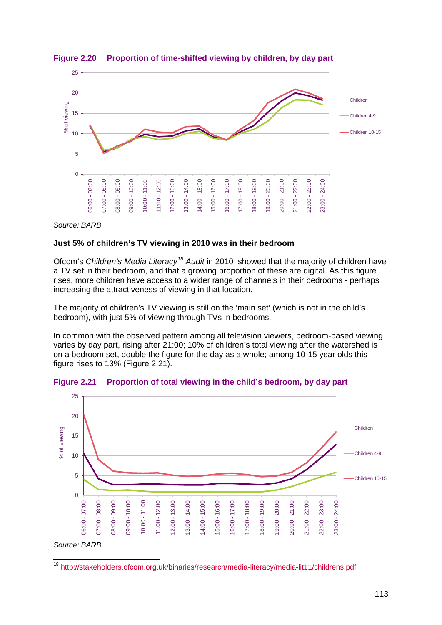

<span id="page-18-1"></span>**Figure 2.20 Proportion of time-shifted viewing by children, by day part** 

#### *Source: BARB*

## **Just 5% of children's TV viewing in 2010 was in their bedroom**

Ofcom's *Children's Media Literacy[18](#page-18-2) Audit* in 2010 showed that the majority of children have a TV set in their bedroom, and that a growing proportion of these are digital. As this figure rises, more children have access to a wider range of channels in their bedrooms - perhaps increasing the attractiveness of viewing in that location.

The majority of children's TV viewing is still on the 'main set' (which is not in the child's bedroom), with just 5% of viewing through TVs in bedrooms.

In common with the observed pattern among all television viewers, bedroom-based viewing varies by day part, rising after 21:00; 10% of children's total viewing after the watershed is on a bedroom set, double the figure for the day as a whole; among 10-15 year olds this figure rises to 13% ( [Figure 2.21\)](#page-18-0).



<span id="page-18-0"></span>**Figure 2.21 Proportion of total viewing in the child's bedroom, by day part**

<span id="page-18-2"></span>18 <http://stakeholders.ofcom.org.uk/binaries/research/media-literacy/media-lit11/childrens.pdf>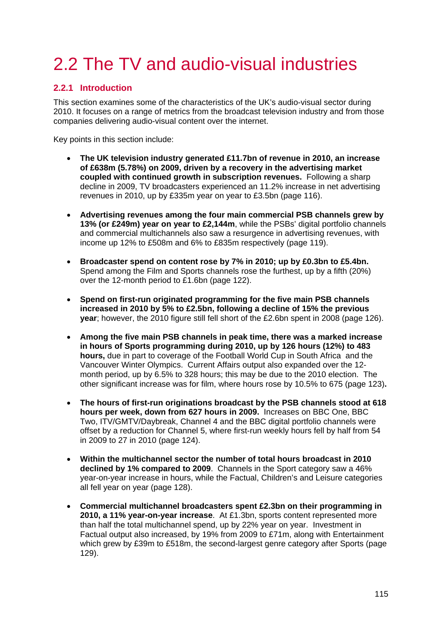# <span id="page-20-0"></span>2.2 The TV and audio-visual industries

# <span id="page-20-1"></span>**2.2.1 Introduction**

This section examines some of the characteristics of the UK's audio-visual sector during 2010. It focuses on a range of metrics from the broadcast television industry and from those companies delivering audio-visual content over the internet.

Key points in this section include:

- **The UK television industry generated £11.7bn of revenue in 2010, an increase of £638m (5.78%) on 2009, driven by a recovery in the advertising market coupled with continued growth in subscription revenues.** Following a sharp decline in 2009, TV broadcasters experienced an 11.2% increase in net advertising revenues in 2010, up by £335m year on year to £3.5bn (page [116\)](#page-21-1).
- **Advertising revenues among the four main commercial PSB channels grew by 13% (or £249m) year on year to £2,144m**, while the PSBs' digital portfolio channels and commercial multichannels also saw a resurgence in advertising revenues, with income up 12% to £508m and 6% to £835m respectively (page [119\)](#page-24-0).
- **Broadcaster spend on content rose by 7% in 2010; up by £0.3bn to £5.4bn.**  Spend among the Film and Sports channels rose the furthest, up by a fifth (20%) over the 12-month period to £1.6bn (page [122\)](#page-27-1).
- **Spend on first-run originated programming for the five main PSB channels increased in 2010 by 5% to £2.5bn, following a decline of 15% the previous year**; however, the 2010 figure still fell short of the £2.6bn spent in 2008 (page [126\)](#page-31-0).
- **Among the five main PSB channels in peak time, there was a marked increase in hours of Sports programming during 2010, up by 126 hours (12%) to 483 hours,** due in part to coverage of the Football World Cup in South Africa and the Vancouver Winter Olympics. Current Affairs output also expanded over the 12 month period, up by 6.5% to 328 hours; this may be due to the 2010 election. The other significant increase was for film, where hours rose by 10.5% to 675 (page [123\)](#page-28-1)**.**
- **The hours of first-run originations broadcast by the PSB channels stood at 618 hours per week, down from 627 hours in 2009.** Increases on BBC One, BBC Two, ITV/GMTV/Daybreak, Channel 4 and the BBC digital portfolio channels were offset by a reduction for Channel 5, where first-run weekly hours fell by half from 54 in 2009 to 27 in 2010 (page [124\)](#page-29-1).
- **Within the multichannel sector the number of total hours broadcast in 2010 declined by 1% compared to 2009**. Channels in the Sport category saw a 46% year-on-year increase in hours, while the Factual, Children's and Leisure categories all fell year on year (page [128\)](#page-33-1).
- **Commercial multichannel broadcasters spent £2.3bn on their programming in 2010, a 11% year-on-year increase**. At £1.3bn, sports content represented more than half the total multichannel spend, up by 22% year on year. Investment in Factual output also increased, by 19% from 2009 to £71m, along with Entertainment which grew by £39m to £518m, the second-largest genre category after Sports (page [129\)](#page-34-1).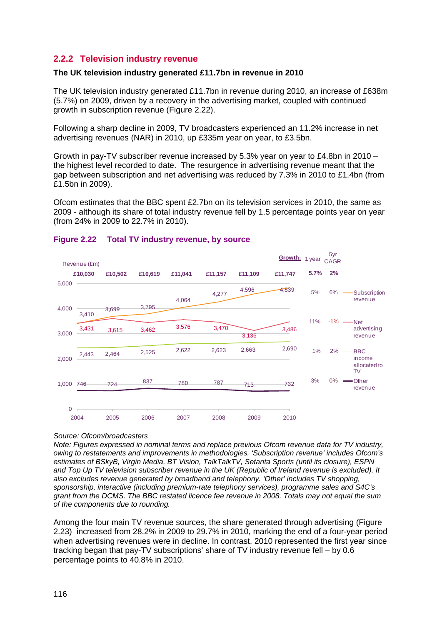# <span id="page-21-0"></span>**2.2.2 Television industry revenue**

## **The UK television industry generated £11.7bn in revenue in 2010**

The UK television industry generated £11.7bn in revenue during 2010, an increase of £638m (5.7%) on 2009, driven by a recovery in the advertising market, coupled with continued growth in subscription revenue [\(Figure 2.22\)](#page-21-1).

Following a sharp decline in 2009, TV broadcasters experienced an 11.2% increase in net advertising revenues (NAR) in 2010, up £335m year on year, to £3.5bn.

Growth in pay-TV subscriber revenue increased by 5.3% year on year to £4.8bn in 2010 – the highest level recorded to date. The resurgence in advertising revenue meant that the gap between subscription and net advertising was reduced by 7.3% in 2010 to £1.4bn (from £1.5bn in 2009).

Ofcom estimates that the BBC spent £2.7bn on its television services in 2010, the same as 2009 - although its share of total industry revenue fell by 1.5 percentage points year on year (from 24% in 2009 to 22.7% in 2010).



## <span id="page-21-1"></span>**Figure 2.22 Total TV industry revenue, by source**

#### *Source: Ofcom/broadcasters*

*Note: Figures expressed in nominal terms and replace previous Ofcom revenue data for TV industry, owing to restatements and improvements in methodologies. 'Subscription revenue' includes Ofcom's estimates of BSkyB, Virgin Media, BT Vision, TalkTalkTV, Setanta Sports (until its closure), ESPN and Top Up TV television subscriber revenue in the UK (Republic of Ireland revenue is excluded). It also excludes revenue generated by broadband and telephony. 'Other' includes TV shopping, sponsorship, interactive (including premium-rate telephony services), programme sales and S4C's grant from the DCMS. The BBC restated licence fee revenue in 2008. Totals may not equal the sum of the components due to rounding.* 

Among the four main TV revenue sources, the share generated through advertising [\(Figure](#page-22-0)  [2.23\)](#page-22-0) increased from 28.2% in 2009 to 29.7% in 2010, marking the end of a four-year period when advertising revenues were in decline. In contrast, 2010 represented the first year since tracking began that pay-TV subscriptions' share of TV industry revenue fell – by 0.6 percentage points to 40.8% in 2010.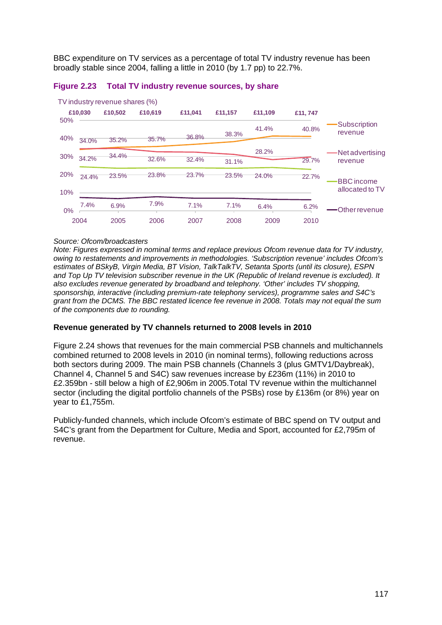BBC expenditure on TV services as a percentage of total TV industry revenue has been broadly stable since 2004, falling a little in 2010 (by 1.7 pp) to 22.7%.



#### <span id="page-22-0"></span>**Figure 2.23 Total TV industry revenue sources, by share**

#### *Source: Ofcom/broadcasters*

*Note: Figures expressed in nominal terms and replace previous Ofcom revenue data for TV industry, owing to restatements and improvements in methodologies. 'Subscription revenue' includes Ofcom's estimates of BSkyB, Virgin Media, BT Vision, TalkTalkTV, Setanta Sports (until its closure), ESPN and Top Up TV television subscriber revenue in the UK (Republic of Ireland revenue is excluded). It also excludes revenue generated by broadband and telephony. 'Other' includes TV shopping, sponsorship, interactive (including premium-rate telephony services), programme sales and S4C's grant from the DCMS. The BBC restated licence fee revenue in 2008. Totals may not equal the sum of the components due to rounding.* 

#### **Revenue generated by TV channels returned to 2008 levels in 2010**

[Figure 2.24](#page-23-0) shows that revenues for the main commercial PSB channels and multichannels combined returned to 2008 levels in 2010 (in nominal terms), following reductions across both sectors during 2009. The main PSB channels (Channels 3 (plus GMTV1/Daybreak), Channel 4, Channel 5 and S4C) saw revenues increase by £236m (11%) in 2010 to £2.359bn - still below a high of £2,906m in 2005.Total TV revenue within the multichannel sector (including the digital portfolio channels of the PSBs) rose by £136m (or 8%) year on year to £1,755m.

Publicly-funded channels, which include Ofcom's estimate of BBC spend on TV output and S4C's grant from the Department for Culture, Media and Sport, accounted for £2,795m of revenue.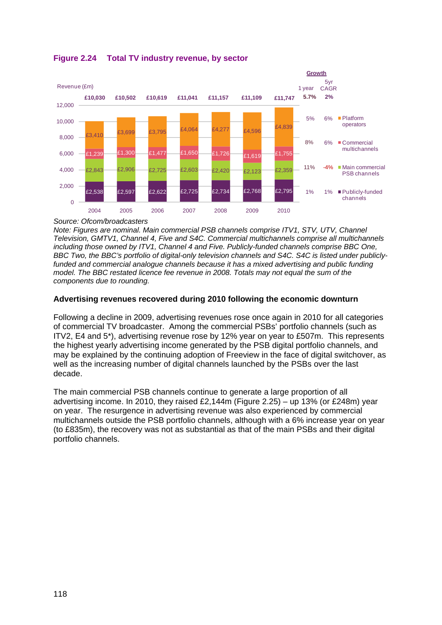

<span id="page-23-0"></span>**Figure 2.24 Total TV industry revenue, by sector**

*Source: Ofcom/broadcasters*

*Note: Figures are nominal. Main commercial PSB channels comprise ITV1, STV, UTV, Channel Television, GMTV1, Channel 4, Five and S4C. Commercial multichannels comprise all multichannels including those owned by ITV1, Channel 4 and Five. Publicly-funded channels comprise BBC One, BBC Two, the BBC's portfolio of digital-only television channels and S4C. S4C is listed under publiclyfunded and commercial analogue channels because it has a mixed advertising and public funding model. The BBC restated licence fee revenue in 2008. Totals may not equal the sum of the components due to rounding.* 

# **Advertising revenues recovered during 2010 following the economic downturn**

Following a decline in 2009, advertising revenues rose once again in 2010 for all categories of commercial TV broadcaster. Among the commercial PSBs' portfolio channels (such as ITV2, E4 and 5\*), advertising revenue rose by 12% year on year to £507m. This represents the highest yearly advertising income generated by the PSB digital portfolio channels, and may be explained by the continuing adoption of Freeview in the face of digital switchover, as well as the increasing number of digital channels launched by the PSBs over the last decade.

The main commercial PSB channels continue to generate a large proportion of all advertising income. In 2010, they raised £2,144m [\(Figure 2.25\)](#page-24-0) – up 13% (or £248m) year on year. The resurgence in advertising revenue was also experienced by commercial multichannels outside the PSB portfolio channels, although with a 6% increase year on year (to £835m), the recovery was not as substantial as that of the main PSBs and their digital portfolio channels.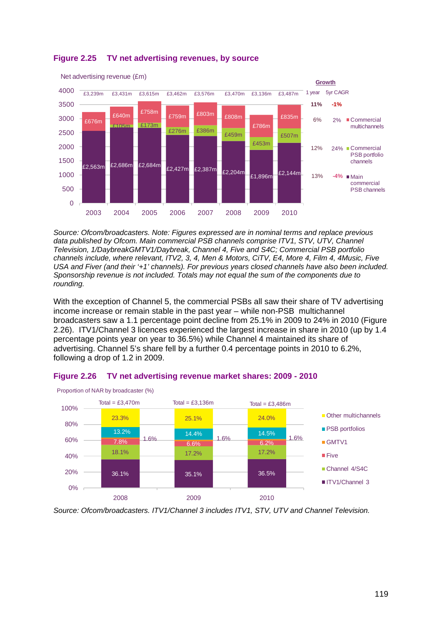

# <span id="page-24-0"></span>**Figure 2.25 TV net advertising revenues, by source**

*Source: Ofcom/broadcasters. Note: Figures expressed are in nominal terms and replace previous*  data published by Ofcom. Main commercial PSB channels comprise ITV1, STV, UTV, Channel *Television, 1/DaybreakGMTV1/Daybreak, Channel 4, Five and S4C; Commercial PSB portfolio channels include, where relevant, ITV2, 3, 4, Men & Motors, CiTV, E4, More 4, Film 4, 4Music, Five USA and Fiver (and their '+1' channels). For previous years closed channels have also been included. Sponsorship revenue is not included. Totals may not equal the sum of the components due to rounding.* 

With the exception of Channel 5, the commercial PSBs all saw their share of TV advertising income increase or remain stable in the past year – while non-PSB multichannel broadcasters saw a 1.1 percentage point decline from 25.1% in 2009 to 24% in 2010 (Figure 2.26). ITV1/Channel 3 licences experienced the largest increase in share in 2010 (up by 1.4 percentage points year on year to 36.5%) while Channel 4 maintained its share of advertising. Channel 5's share fell by a further 0.4 percentage points in 2010 to 6.2%, following a drop of 1.2 in 2009.



# **Figure 2.26 TV net advertising revenue market shares: 2009 - 2010**

*Source: Ofcom/broadcasters. ITV1/Channel 3 includes ITV1, STV, UTV and Channel Television.*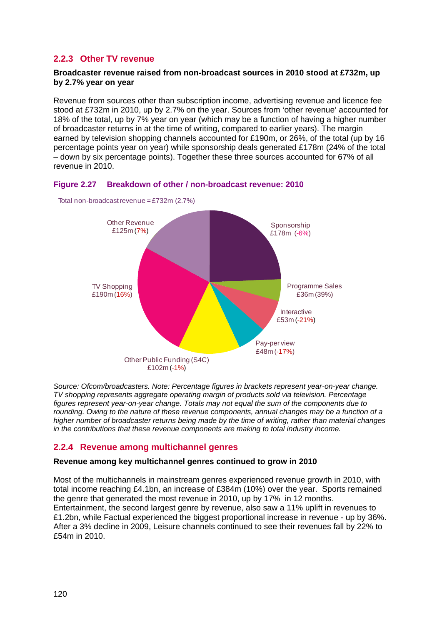# <span id="page-25-0"></span>**2.2.3 Other TV revenue**

# **Broadcaster revenue raised from non-broadcast sources in 2010 stood at £732m, up by 2.7% year on year**

Revenue from sources other than subscription income, advertising revenue and licence fee stood at £732m in 2010, up by 2.7% on the year. Sources from 'other revenue' accounted for 18% of the total, up by 7% year on year (which may be a function of having a higher number of broadcaster returns in at the time of writing, compared to earlier years). The margin earned by television shopping channels accounted for £190m, or 26%, of the total (up by 16 percentage points year on year) while sponsorship deals generated £178m (24% of the total – down by six percentage points). Together these three sources accounted for 67% of all revenue in 2010.





Total non-broadcast revenue = £732m (2.7%)

*Source: Ofcom/broadcasters. Note: Percentage figures in brackets represent year-on-year change. TV shopping represents aggregate operating margin of products sold via television. Percentage figures represent year-on-year change. Totals may not equal the sum of the components due to rounding. Owing to the nature of these revenue components, annual changes may be a function of a higher number of broadcaster returns being made by the time of writing, rather than material changes in the contributions that these revenue components are making to total industry income.*

# <span id="page-25-1"></span>**2.2.4 Revenue among multichannel genres**

# **Revenue among key multichannel genres continued to grow in 2010**

Most of the multichannels in mainstream genres experienced revenue growth in 2010, with total income reaching £4.1bn, an increase of £384m (10%) over the year. Sports remained the genre that generated the most revenue in 2010, up by 17% in 12 months. Entertainment, the second largest genre by revenue, also saw a 11% uplift in revenues to £1.2bn, while Factual experienced the biggest proportional increase in revenue - up by 36%. After a 3% decline in 2009, Leisure channels continued to see their revenues fall by 22% to £54m in 2010.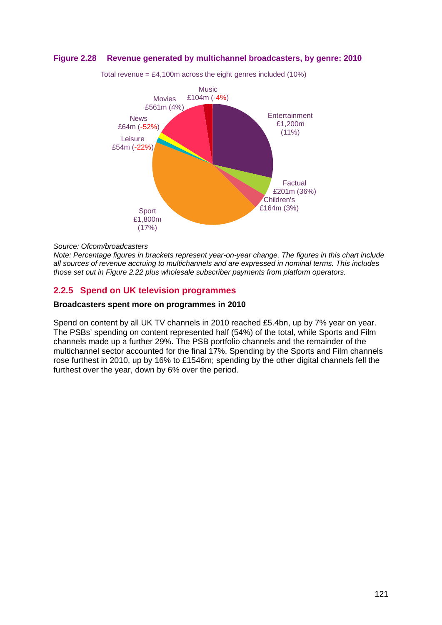## **Figure 2.28 Revenue generated by multichannel broadcasters, by genre: 2010**



Total revenue =  $£4,100m$  across the eight genres included (10%)

#### *Source: Ofcom/broadcasters*

*Note: Percentage figures in brackets represent year-on-year change. The figures in this chart include all sources of revenue accruing to multichannels and are expressed in nominal terms. This includes those set out in [Figure 2.22](#page-21-1) plus wholesale subscriber payments from platform operators.* 

# <span id="page-26-0"></span>**2.2.5 Spend on UK television programmes**

#### **Broadcasters spent more on programmes in 2010**

Spend on content by all UK TV channels in 2010 reached £5.4bn, up by 7% year on year. The PSBs' spending on content represented half (54%) of the total, while Sports and Film channels made up a further 29%. The PSB portfolio channels and the remainder of the multichannel sector accounted for the final 17%. Spending by the Sports and Film channels rose furthest in 2010, up by 16% to £1546m; spending by the other digital channels fell the furthest over the year, down by 6% over the period.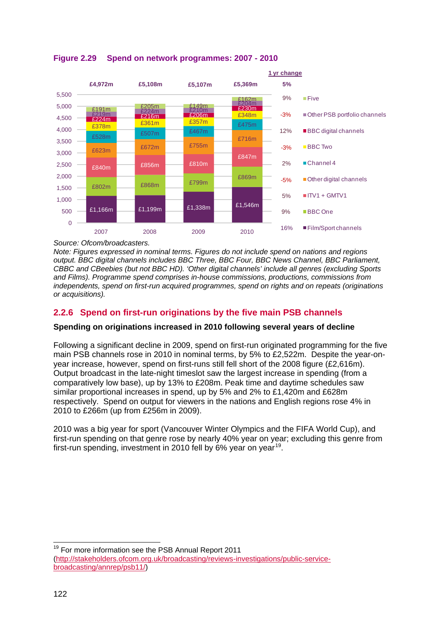

# <span id="page-27-1"></span>**Figure 2.29 Spend on network programmes: 2007 - 2010**

*Source: Ofcom/broadcasters.* 

*Note: Figures expressed in nominal terms. Figures do not include spend on nations and regions output. BBC digital channels includes BBC Three, BBC Four, BBC News Channel, BBC Parliament, CBBC and CBeebies (but not BBC HD). 'Other digital channels' include all genres (excluding Sports and Films). Programme spend comprises in-house commissions, productions, commissions from independents, spend on first-run acquired programmes, spend on rights and on repeats (originations or acquisitions).* 

# <span id="page-27-0"></span>**2.2.6 Spend on first-run originations by the five main PSB channels**

# **Spending on originations increased in 2010 following several years of decline**

Following a significant decline in 2009, spend on first-run originated programming for the five main PSB channels rose in 2010 in nominal terms, by 5% to £2,522m. Despite the year-onyear increase, however, spend on first-runs still fell short of the 2008 figure (£2,616m). Output broadcast in the late-night timeslot saw the largest increase in spending (from a comparatively low base), up by 13% to £208m. Peak time and daytime schedules saw similar proportional increases in spend, up by 5% and 2% to £1,420m and £628m respectively. Spend on output for viewers in the nations and English regions rose 4% in 2010 to £266m (up from £256m in 2009).

2010 was a big year for sport (Vancouver Winter Olympics and the FIFA World Cup), and first-run spending on that genre rose by nearly 40% year on year; excluding this genre from first-run spending, investment in 2010 fell by 6% year on year<sup>[19](#page-27-2)</sup>.

<span id="page-27-2"></span><sup>19</sup> For more information see the PSB Annual Report 2011 ( [http://stakeholders.ofcom.org.uk/broadcasting/reviews-investigations/public-service](http://stakeholders.ofcom.org.uk/broadcasting/reviews-investigations/public-service-broadcasting/annrep/psb11/)[broadcasting/annrep/psb11/\)](http://stakeholders.ofcom.org.uk/broadcasting/reviews-investigations/public-service-broadcasting/annrep/psb11/)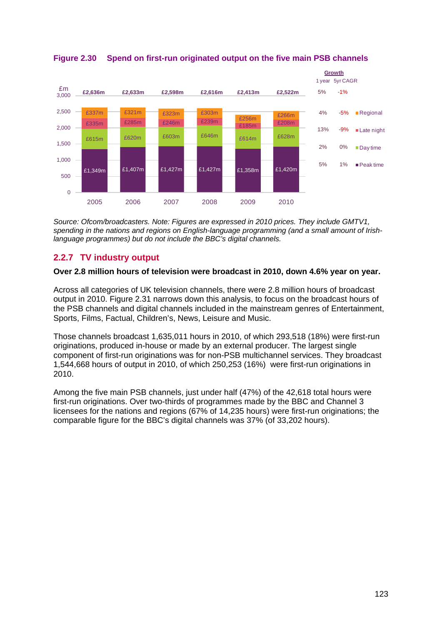

<span id="page-28-1"></span>**Figure 2.30 Spend on first-run originated output on the five main PSB channels**

*Source: Ofcom/broadcasters. Note: Figures are expressed in 2010 prices. They include GMTV1, spending in the nations and regions on English-language programming (and a small amount of Irishlanguage programmes) but do not include the BBC's digital channels.*

# <span id="page-28-0"></span>**2.2.7 TV industry output**

# **Over 2.8 million hours of television were broadcast in 2010, down 4.6% year on year.**

Across all categories of UK television channels, there were 2.8 million hours of broadcast output in 2010. [Figure 2.31](#page-29-1) narrows down this analysis, to focus on the broadcast hours of the PSB channels and digital channels included in the mainstream genres of Entertainment, Sports, Films, Factual, Children's, News, Leisure and Music.

Those channels broadcast 1,635,011 hours in 2010, of which 293,518 (18%) were first-run originations, produced in-house or made by an external producer. The largest single component of first-run originations was for non-PSB multichannel services. They broadcast 1,544,668 hours of output in 2010, of which 250,253 (16%) were first-run originations in 2010.

Among the five main PSB channels, just under half (47%) of the 42,618 total hours were first-run originations. Over two-thirds of programmes made by the BBC and Channel 3 licensees for the nations and regions (67% of 14,235 hours) were first-run originations; the comparable figure for the BBC's digital channels was 37% (of 33,202 hours).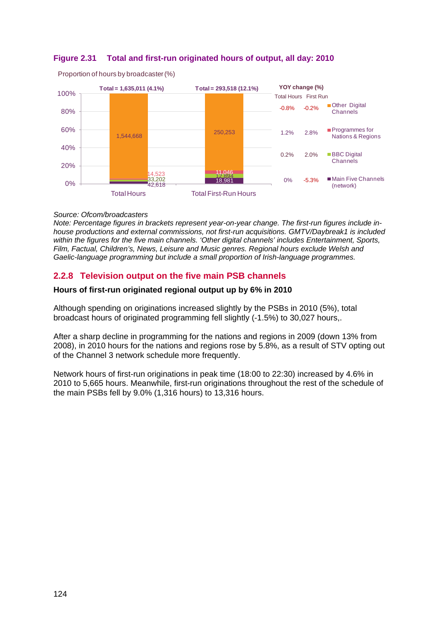# <span id="page-29-1"></span>**Figure 2.31 Total and first-run originated hours of output, all day: 2010**



Proportion of hours by broadcaster (%)

#### *Source: Ofcom/broadcasters*

*Note: Percentage figures in brackets represent year-on-year change. The first-run figures include inhouse productions and external commissions, not first-run acquisitions. GMTV/Daybreak1 is included within the figures for the five main channels. 'Other digital channels' includes Entertainment, Sports, Film, Factual, Children's, News, Leisure and Music genres. Regional hours exclude Welsh and Gaelic-language programming but include a small proportion of Irish-language programmes.* 

# <span id="page-29-0"></span>**2.2.8 Television output on the five main PSB channels**

## **Hours of first-run originated regional output up by 6% in 2010**

Although spending on originations increased slightly by the PSBs in 2010 (5%), total broadcast hours of originated programming fell slightly (-1.5%) to 30,027 hours,.

After a sharp decline in programming for the nations and regions in 2009 (down 13% from 2008), in 2010 hours for the nations and regions rose by 5.8%, as a result of STV opting out of the Channel 3 network schedule more frequently.

Network hours of first-run originations in peak time (18:00 to 22:30) increased by 4.6% in 2010 to 5,665 hours. Meanwhile, first-run originations throughout the rest of the schedule of the main PSBs fell by 9.0% (1,316 hours) to 13,316 hours.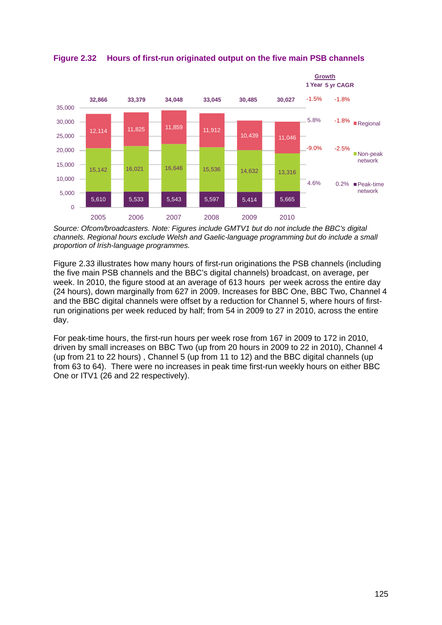

**Figure 2.32 Hours of first-run originated output on the five main PSB channels**

*Source: Ofcom/broadcasters. Note: Figures include GMTV1 but do not include the BBC's digital channels. Regional hours exclude Welsh and Gaelic-language programming but do include a small proportion of Irish-language programmes.*

[Figure 2.33](#page-31-0) illustrates how many hours of first-run originations the PSB channels (including the five main PSB channels and the BBC's digital channels) broadcast, on average, per week. In 2010, the figure stood at an average of 613 hours per week across the entire day (24 hours), down marginally from 627 in 2009. Increases for BBC One, BBC Two, Channel 4 and the BBC digital channels were offset by a reduction for Channel 5, where hours of firstrun originations per week reduced by half; from 54 in 2009 to 27 in 2010, across the entire day.

For peak-time hours, the first-run hours per week rose from 167 in 2009 to 172 in 2010, driven by small increases on BBC Two (up from 20 hours in 2009 to 22 in 2010), Channel 4 (up from 21 to 22 hours) , Channel 5 (up from 11 to 12) and the BBC digital channels (up from 63 to 64). There were no increases in peak time first-run weekly hours on either BBC One or ITV1 (26 and 22 respectively).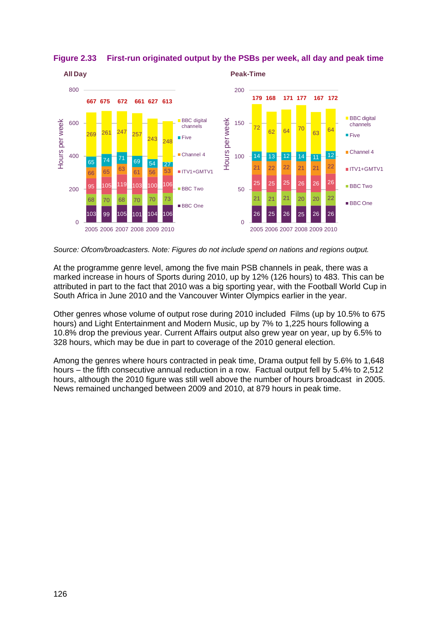

<span id="page-31-0"></span>**Figure 2.33 First-run originated output by the PSBs per week, all day and peak time**

*Source: Ofcom/broadcasters. Note: Figures do not include spend on nations and regions output.* 

At the programme genre level, among the five main PSB channels in peak, there was a marked increase in hours of Sports during 2010, up by 12% (126 hours) to 483. This can be attributed in part to the fact that 2010 was a big sporting year, with the Football World Cup in South Africa in June 2010 and the Vancouver Winter Olympics earlier in the year.

Other genres whose volume of output rose during 2010 included Films (up by 10.5% to 675 hours) and Light Entertainment and Modern Music, up by 7% to 1,225 hours following a 10.8% drop the previous year. Current Affairs output also grew year on year, up by 6.5% to 328 hours, which may be due in part to coverage of the 2010 general election.

Among the genres where hours contracted in peak time, Drama output fell by 5.6% to 1,648 hours – the fifth consecutive annual reduction in a row. Factual output fell by 5.4% to 2,512 hours, although the 2010 figure was still well above the number of hours broadcast in 2005. News remained unchanged between 2009 and 2010, at 879 hours in peak time.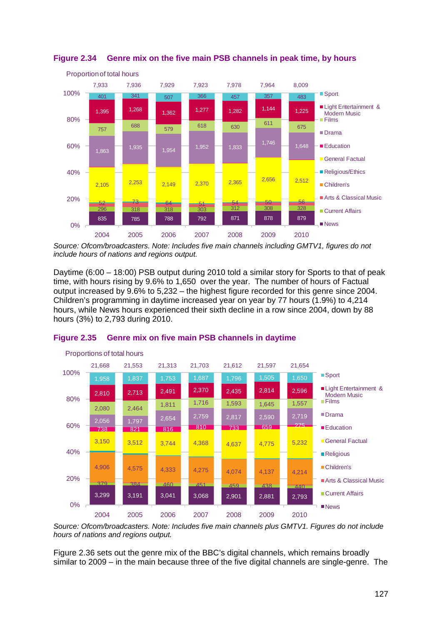

# **Figure 2.34 Genre mix on the five main PSB channels in peak time, by hours**

*Source: Ofcom/broadcasters. Note: Includes five main channels including GMTV1, figures do not include hours of nations and regions output.*

Daytime (6:00 – 18:00) PSB output during 2010 told a similar story for Sports to that of peak time, with hours rising by 9.6% to 1,650 over the year. The number of hours of Factual output increased by 9.6% to 5,232 – the highest figure recorded for this genre since 2004. Children's programming in daytime increased year on year by 77 hours (1.9%) to 4,214 hours, while News hours experienced their sixth decline in a row since 2004, down by 88 hours (3%) to 2,793 during 2010.



# **Figure 2.35 Genre mix on five main PSB channels in daytime**

*Source: Ofcom/broadcasters. Note: Includes five main channels plus GMTV1. Figures do not include hours of nations and regions output.*

[Figure 2.36](#page-33-2) sets out the genre mix of the BBC's digital channels, which remains broadly similar to 2009 – in the main because three of the five digital channels are single-genre. The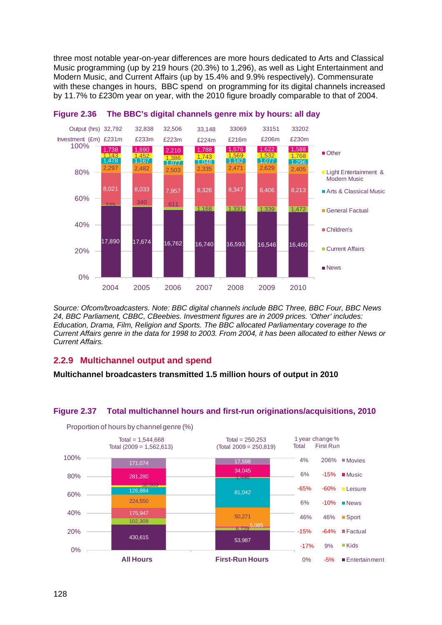three most notable year-on-year differences are more hours dedicated to Arts and Classical Music programming (up by 219 hours (20.3%) to 1,296), as well as Light Entertainment and Modern Music, and Current Affairs (up by 15.4% and 9.9% respectively). Commensurate with these changes in hours, BBC spend on programming for its digital channels increased by 11.7% to £230m year on year, with the 2010 figure broadly comparable to that of 2004.



<span id="page-33-2"></span>

*Source: Ofcom/broadcasters. Note: BBC digital channels include BBC Three, BBC Four, BBC News 24, BBC Parliament, CBBC, CBeebies. Investment figures are in 2009 prices. 'Other' includes: Education, Drama, Film, Religion and Sports. The BBC allocated Parliamentary coverage to the Current Affairs genre in the data for 1998 to 2003. From 2004, it has been allocated to either News or Current Affairs.*

# <span id="page-33-0"></span>**2.2.9 Multichannel output and spend**

**Multichannel broadcasters transmitted 1.5 million hours of output in 2010** 

# <span id="page-33-1"></span>**Figure 2.37 Total multichannel hours and first-run originations/acquisitions, 2010**



Proportion of hours by channel genre (%)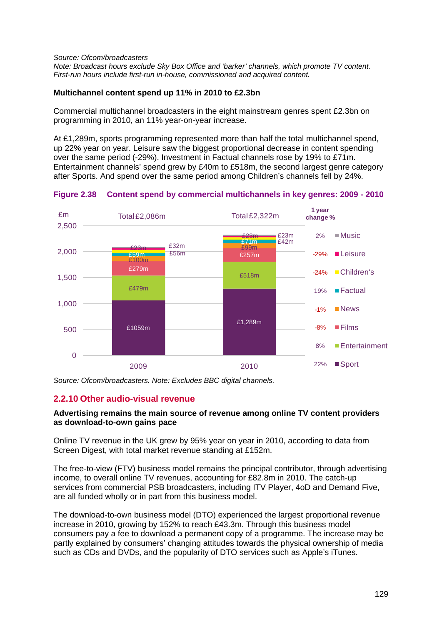#### *Source: Ofcom/broadcasters Note: Broadcast hours exclude Sky Box Office and 'barker' channels, which promote TV content. First-run hours include first-run in-house, commissioned and acquired content.*

# **Multichannel content spend up 11% in 2010 to £2.3bn**

Commercial multichannel broadcasters in the eight mainstream genres spent £2.3bn on programming in 2010, an 11% year-on-year increase.

At £1,289m, sports programming represented more than half the total multichannel spend, up 22% year on year. Leisure saw the biggest proportional decrease in content spending over the same period (-29%). Investment in Factual channels rose by 19% to £71m. Entertainment channels' spend grew by £40m to £518m, the second largest genre category after Sports. And spend over the same period among Children's channels fell by 24%.

<span id="page-34-1"></span>**Figure 2.38 Content spend by commercial multichannels in key genres: 2009 - 2010**



*Source: Ofcom/broadcasters. Note: Excludes BBC digital channels.*

# <span id="page-34-0"></span>**2.2.10 Other audio-visual revenue**

# **Advertising remains the main source of revenue among online TV content providers as download-to-own gains pace**

Online TV revenue in the UK grew by 95% year on year in 2010, according to data from Screen Digest, with total market revenue standing at £152m.

The free-to-view (FTV) business model remains the principal contributor, through advertising income, to overall online TV revenues, accounting for £82.8m in 2010. The catch-up services from commercial PSB broadcasters, including ITV Player, 4oD and Demand Five, are all funded wholly or in part from this business model.

The download-to-own business model (DTO) experienced the largest proportional revenue increase in 2010, growing by 152% to reach £43.3m. Through this business model consumers pay a fee to download a permanent copy of a programme. The increase may be partly explained by consumers' changing attitudes towards the physical ownership of media such as CDs and DVDs, and the popularity of DTO services such as Apple's iTunes.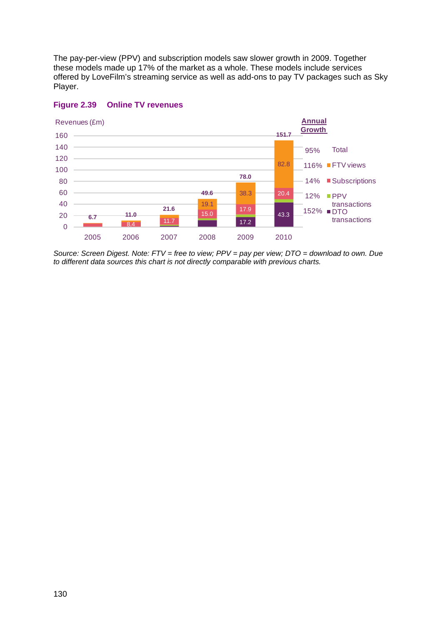The pay-per-view (PPV) and subscription models saw slower growth in 2009. Together these models made up 17% of the market as a whole. These models include services offered by LoveFilm's streaming service as well as add-ons to pay TV packages such as Sky Player.



# **Figure 2.39 Online TV revenues**

*Source: Screen Digest. Note: FTV = free to view; PPV = pay per view; DTO = download to own. Due to different data sources this chart is not directly comparable with previous charts.*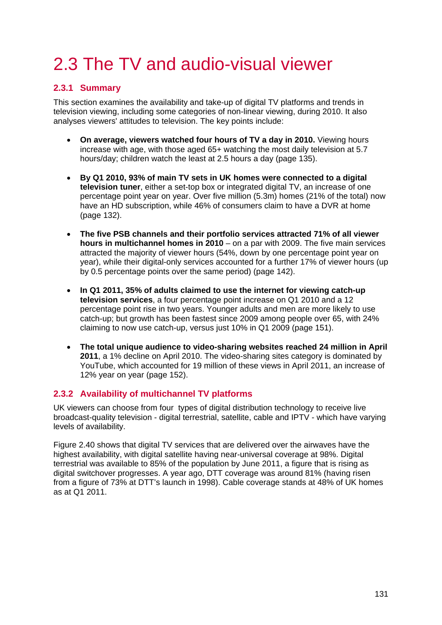# <span id="page-36-0"></span>2.3 The TV and audio-visual viewer

# <span id="page-36-1"></span>**2.3.1 Summary**

This section examines the availability and take-up of digital TV platforms and trends in television viewing, including some categories of non-linear viewing, during 2010. It also analyses viewers' attitudes to television. The key points include:

- **On average, viewers watched four hours of TV a day in 2010.** Viewing hours increase with age, with those aged 65+ watching the most daily television at 5.7 hours/day; children watch the least at 2.5 hours a day (page [135\)](#page-40-1).
- **By Q1 2010, 93% of main TV sets in UK homes were connected to a digital television tuner**, either a set-top box or integrated digital TV, an increase of one percentage point year on year. Over five million (5.3m) homes (21% of the total) now have an HD subscription, while 46% of consumers claim to have a DVR at home (page [132\)](#page-37-0).
- **The five PSB channels and their portfolio services attracted 71% of all viewer hours in multichannel homes in 2010** – on a par with 2009. The five main services attracted the majority of viewer hours (54%, down by one percentage point year on year), while their digital-only services accounted for a further 17% of viewer hours (up by 0.5 percentage points over the same period) (page [142\)](#page-47-0).
- **In Q1 2011, 35% of adults claimed to use the internet for viewing catch-up television services**, a four percentage point increase on Q1 2010 and a 12 percentage point rise in two years. Younger adults and men are more likely to use catch-up; but growth has been fastest since 2009 among people over 65, with 24% claiming to now use catch-up, versus just 10% in Q1 2009 (page [151\)](#page-56-1).
- **The total unique audience to video-sharing websites reached 24 million in April 2011**, a 1% decline on April 2010. The video-sharing sites category is dominated by YouTube, which accounted for 19 million of these views in April 2011, an increase of 12% year on year (page [152\)](#page-57-1).

# <span id="page-36-2"></span>**2.3.2 Availability of multichannel TV platforms**

UK viewers can choose from four types of digital distribution technology to receive live broadcast-quality television - digital terrestrial, satellite, cable and IPTV - which have varying levels of availability.

[Figure 2.40](#page-37-1) shows that digital TV services that are delivered over the airwaves have the highest availability, with digital satellite having near-universal coverage at 98%. Digital terrestrial was available to 85% of the population by June 2011, a figure that is rising as digital switchover progresses. A year ago, DTT coverage was around 81% (having risen from a figure of 73% at DTT's launch in 1998). Cable coverage stands at 48% of UK homes as at Q1 2011.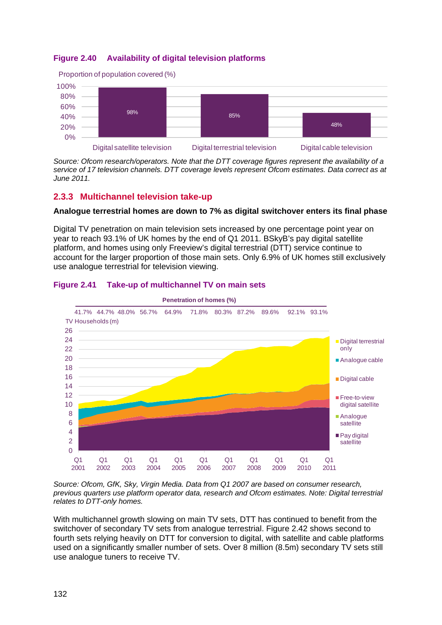# <span id="page-37-1"></span>**Figure 2.40 Availability of digital television platforms**



*Source: Ofcom research/operators. Note that the DTT coverage figures represent the availability of a service of 17 television channels. DTT coverage levels represent Ofcom estimates. Data correct as at June 2011.*

# <span id="page-37-0"></span>**2.3.3 Multichannel television take-up**

# **Analogue terrestrial homes are down to 7% as digital switchover enters its final phase**

Digital TV penetration on main television sets increased by one percentage point year on year to reach 93.1% of UK homes by the end of Q1 2011. BSkyB's pay digital satellite platform, and homes using only Freeview's digital terrestrial (DTT) service continue to account for the larger proportion of those main sets. Only 6.9% of UK homes still exclusively use analogue terrestrial for television viewing.



# **Figure 2.41 Take-up of multichannel TV on main sets**

*Source: Ofcom, GfK, Sky, Virgin Media. Data from Q1 2007 are based on consumer research, previous quarters use platform operator data, research and Ofcom estimates. Note: Digital terrestrial relates to DTT-only homes.*

With multichannel growth slowing on main TV sets, DTT has continued to benefit from the switchover of secondary TV sets from analogue terrestrial. [Figure 2.42](#page-38-0) shows second to fourth sets relying heavily on DTT for conversion to digital, with satellite and cable platforms used on a significantly smaller number of sets. Over 8 million (8.5m) secondary TV sets still use analogue tuners to receive TV.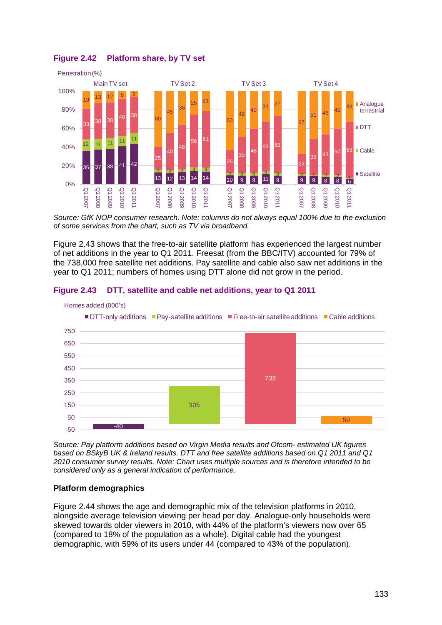

<span id="page-38-0"></span>**Figure 2.42 Platform share, by TV set**

*Source: GfK NOP consumer research. Note: columns do not always equal 100% due to the exclusion of some services from the chart, such as TV via broadband.*

[Figure 2.43](#page-38-1) shows that the free-to-air satellite platform has experienced the largest number of net additions in the year to Q1 2011. Freesat (from the BBC/ITV) accounted for 79% of the 738,000 free satellite net additions. Pay satellite and cable also saw net additions in the year to Q1 2011; numbers of homes using DTT alone did not grow in the period.

<span id="page-38-1"></span>



*Source: Pay platform additions based on Virgin Media results and Ofcom- estimated UK figures based on BSkyB UK & Ireland results. DTT and free satellite additions based on Q1 2011 and Q1 2010 consumer survey results. Note: Chart uses multiple sources and is therefore intended to be considered only as a general indication of performance.*

# **Platform demographics**

[Figure 2.44](#page-39-1) shows the age and demographic mix of the television platforms in 2010, alongside average television viewing per head per day. Analogue-only households were skewed towards older viewers in 2010, with 44% of the platform's viewers now over 65 (compared to 18% of the population as a whole). Digital cable had the youngest demographic, with 59% of its users under 44 (compared to 43% of the population).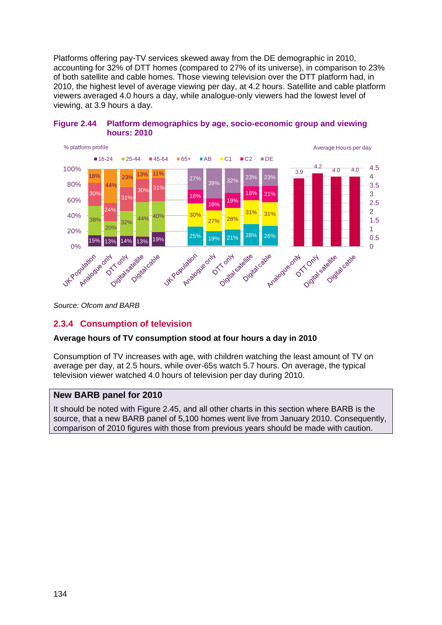Platforms offering pay-TV services skewed away from the DE demographic in 2010, accounting for 32% of DTT homes (compared to 27% of its universe), in comparison to 23% of both satellite and cable homes. Those viewing television over the DTT platform had, in 2010, the highest level of average viewing per day, at 4.2 hours. Satellite and cable platform viewers averaged 4.0 hours a day, while analogue-only viewers had the lowest level of viewing, at 3.9 hours a day.



# <span id="page-39-1"></span>**Figure 2.44 Platform demographics by age, socio-economic group and viewing hours: 2010**

<span id="page-39-0"></span>*Source: Ofcom and BARB*

# **2.3.4 Consumption of television**

# **Average hours of TV consumption stood at four hours a day in 2010**

Consumption of TV increases with age, with children watching the least amount of TV on average per day, at 2.5 hours, while over-65s watch 5.7 hours. On average, the typical television viewer watched 4.0 hours of television per day during 2010.

# **New BARB panel for 2010**

It should be noted with [Figure 2.45,](#page-40-1) and all other charts in this section where BARB is the source, that a new BARB panel of 5,100 homes went live from January 2010. Consequently, comparison of 2010 figures with those from previous years should be made with caution.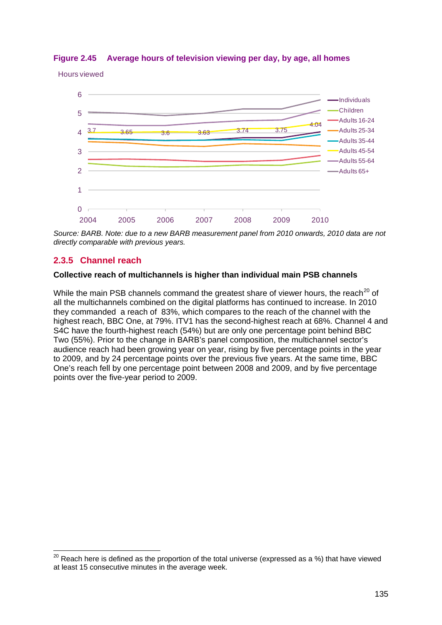# <span id="page-40-1"></span>**Figure 2.45 Average hours of television viewing per day, by age, all homes**

Hours viewed



*Source: BARB. Note: due to a new BARB measurement panel from 2010 onwards, 2010 data are not directly comparable with previous years.*

# <span id="page-40-0"></span>**2.3.5 Channel reach**

#### **Collective reach of multichannels is higher than individual main PSB channels**

While the main PSB channels command the greatest share of viewer hours, the reach<sup>[20](#page-40-2)</sup> of all the multichannels combined on the digital platforms has continued to increase. In 2010 they commanded a reach of 83%, which compares to the reach of the channel with the highest reach, BBC One, at 79%. ITV1 has the second-highest reach at 68%. Channel 4 and S4C have the fourth-highest reach (54%) but are only one percentage point behind BBC Two (55%). Prior to the change in BARB's panel composition, the multichannel sector's audience reach had been growing year on year, rising by five percentage points in the year to 2009, and by 24 percentage points over the previous five years. At the same time, BBC One's reach fell by one percentage point between 2008 and 2009, and by five percentage points over the five-year period to 2009.

<span id="page-40-2"></span> $20$  Reach here is defined as the proportion of the total universe (expressed as a %) that have viewed at least 15 consecutive minutes in the average week.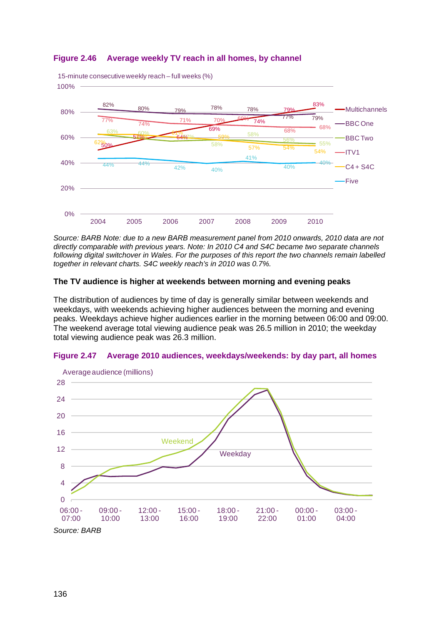# **Figure 2.46 Average weekly TV reach in all homes, by channel**



*Source: BARB Note: due to a new BARB measurement panel from 2010 onwards, 2010 data are not directly comparable with previous years. Note: In 2010 C4 and S4C became two separate channels following digital switchover in Wales. For the purposes of this report the two channels remain labelled together in relevant charts. S4C weekly reach's in 2010 was 0.7%.* 

# **The TV audience is higher at weekends between morning and evening peaks**

The distribution of audiences by time of day is generally similar between weekends and weekdays, with weekends achieving higher audiences between the morning and evening peaks. Weekdays achieve higher audiences earlier in the morning between 06:00 and 09:00. The weekend average total viewing audience peak was 26.5 million in 2010; the weekday total viewing audience peak was 26.3 million.



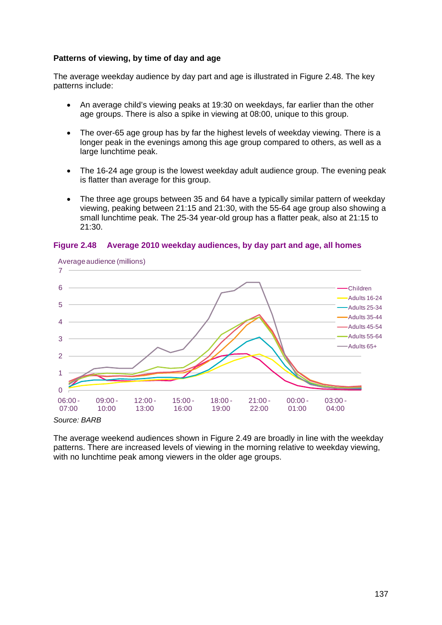# **Patterns of viewing, by time of day and age**

The average weekday audience by day part and age is illustrated in [Figure 2.48.](#page-42-0) The key patterns include:

- An average child's viewing peaks at 19:30 on weekdays, far earlier than the other age groups. There is also a spike in viewing at 08:00, unique to this group.
- The over-65 age group has by far the highest levels of weekday viewing. There is a longer peak in the evenings among this age group compared to others, as well as a large lunchtime peak.
- The 16-24 age group is the lowest weekday adult audience group. The evening peak is flatter than average for this group.
- The three age groups between 35 and 64 have a typically similar pattern of weekday viewing, peaking between 21:15 and 21:30, with the 55-64 age group also showing a small lunchtime peak. The 25-34 year-old group has a flatter peak, also at 21:15 to 21:30.



#### <span id="page-42-0"></span>**Figure 2.48 Average 2010 weekday audiences, by day part and age, all homes**

*Source: BARB* 

The average weekend audiences shown in [Figure 2.49](#page-43-1) are broadly in line with the weekday patterns. There are increased levels of viewing in the morning relative to weekday viewing, with no lunchtime peak among viewers in the older age groups.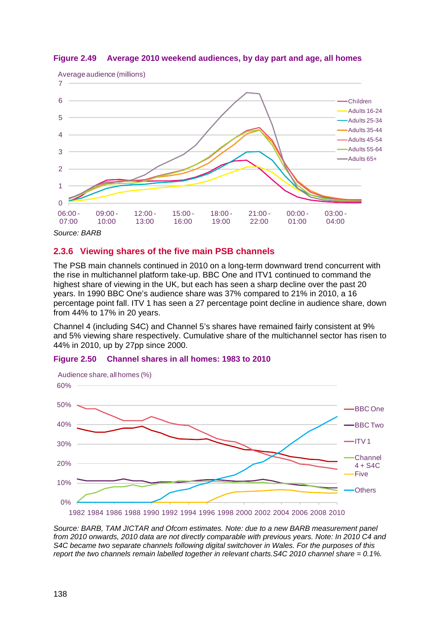

# <span id="page-43-1"></span>**Figure 2.49 Average 2010 weekend audiences, by day part and age, all homes**

# <span id="page-43-0"></span>**2.3.6 Viewing shares of the five main PSB channels**

The PSB main channels continued in 2010 on a long-term downward trend concurrent with the rise in multichannel platform take-up. BBC One and ITV1 continued to command the highest share of viewing in the UK, but each has seen a sharp decline over the past 20 years. In 1990 BBC One's audience share was 37% compared to 21% in 2010, a 16 percentage point fall. ITV 1 has seen a 27 percentage point decline in audience share, down from 44% to 17% in 20 years.

Channel 4 (including S4C) and Channel 5's shares have remained fairly consistent at 9% and 5% viewing share respectively. Cumulative share of the multichannel sector has risen to 44% in 2010, up by 27pp since 2000.





*Source: BARB, TAM JICTAR and Ofcom estimates. Note: due to a new BARB measurement panel from 2010 onwards, 2010 data are not directly comparable with previous years. Note: In 2010 C4 and S4C became two separate channels following digital switchover in Wales. For the purposes of this report the two channels remain labelled together in relevant charts.S4C 2010 channel share = 0.1%.*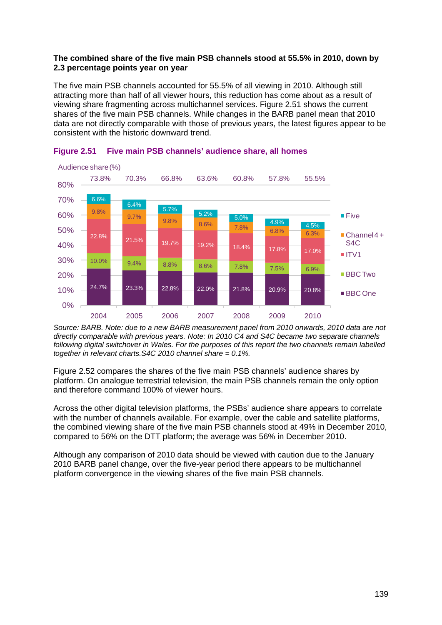# **The combined share of the five main PSB channels stood at 55.5% in 2010, down by 2.3 percentage points year on year**

The five main PSB channels accounted for 55.5% of all viewing in 2010. Although still attracting more than half of all viewer hours, this reduction has come about as a result of viewing share fragmenting across multichannel services. [Figure 2.51](#page-44-0) shows the current shares of the five main PSB channels. While changes in the BARB panel mean that 2010 data are not directly comparable with those of previous years, the latest figures appear to be consistent with the historic downward trend.



# <span id="page-44-0"></span>**Figure 2.51 Five main PSB channels' audience share, all homes**

*Source: BARB. Note: due to a new BARB measurement panel from 2010 onwards, 2010 data are not directly comparable with previous years. Note: In 2010 C4 and S4C became two separate channels following digital switchover in Wales. For the purposes of this report the two channels remain labelled together in relevant charts.S4C 2010 channel share = 0.1%.*

[Figure 2.52](#page-45-0) compares the shares of the five main PSB channels' audience shares by platform. On analogue terrestrial television, the main PSB channels remain the only option and therefore command 100% of viewer hours.

Across the other digital television platforms, the PSBs' audience share appears to correlate with the number of channels available. For example, over the cable and satellite platforms, the combined viewing share of the five main PSB channels stood at 49% in December 2010, compared to 56% on the DTT platform; the average was 56% in December 2010.

Although any comparison of 2010 data should be viewed with caution due to the January 2010 BARB panel change, over the five-year period there appears to be multichannel platform convergence in the viewing shares of the five main PSB channels.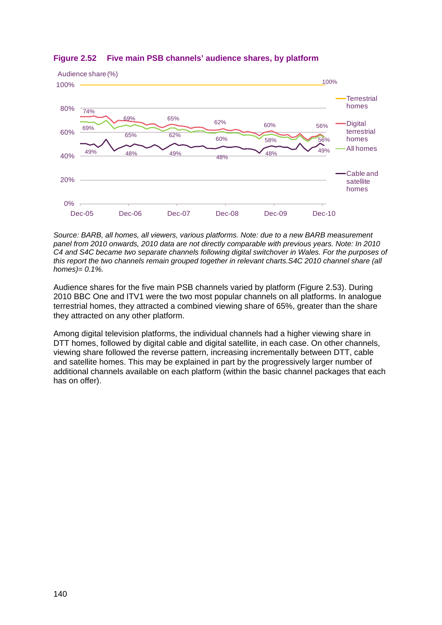

# <span id="page-45-0"></span>**Figure 2.52 Five main PSB channels' audience shares, by platform**

*Source: BARB, all homes, all viewers, various platforms. Note: due to a new BARB measurement panel from 2010 onwards, 2010 data are not directly comparable with previous years. Note: In 2010 C4 and S4C became two separate channels following digital switchover in Wales. For the purposes of this report the two channels remain grouped together in relevant charts.S4C 2010 channel share (all homes)= 0.1%.*

Audience shares for the five main PSB channels varied by platform [\(Figure 2.53\)](#page-46-1). During 2010 BBC One and ITV1 were the two most popular channels on all platforms. In analogue terrestrial homes, they attracted a combined viewing share of 65%, greater than the share they attracted on any other platform.

Among digital television platforms, the individual channels had a higher viewing share in DTT homes, followed by digital cable and digital satellite, in each case. On other channels, viewing share followed the reverse pattern, increasing incrementally between DTT, cable and satellite homes. This may be explained in part by the progressively larger number of additional channels available on each platform (within the basic channel packages that each has on offer).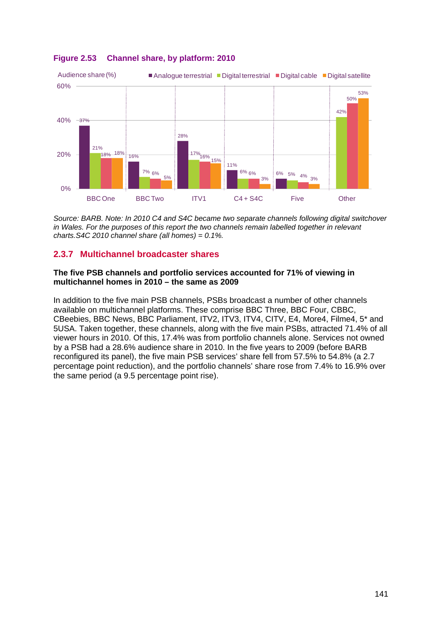

# <span id="page-46-1"></span>**Figure 2.53 Channel share, by platform: 2010**

*Source: BARB. Note: In 2010 C4 and S4C became two separate channels following digital switchover*  in Wales. For the purposes of this report the two channels remain labelled together in relevant *charts.S4C 2010 channel share (all homes) = 0.1%.*

# <span id="page-46-0"></span>**2.3.7 Multichannel broadcaster shares**

### **The five PSB channels and portfolio services accounted for 71% of viewing in multichannel homes in 2010 – the same as 2009**

In addition to the five main PSB channels, PSBs broadcast a number of other channels available on multichannel platforms. These comprise BBC Three, BBC Four, CBBC, CBeebies, BBC News, BBC Parliament, ITV2, ITV3, ITV4, CITV, E4, More4, Filme4, 5\* and 5USA. Taken together, these channels, along with the five main PSBs, attracted 71.4% of all viewer hours in 2010. Of this, 17.4% was from portfolio channels alone. Services not owned by a PSB had a 28.6% audience share in 2010. In the five years to 2009 (before BARB reconfigured its panel), the five main PSB services' share fell from 57.5% to 54.8% (a 2.7 percentage point reduction), and the portfolio channels' share rose from 7.4% to 16.9% over the same period (a 9.5 percentage point rise).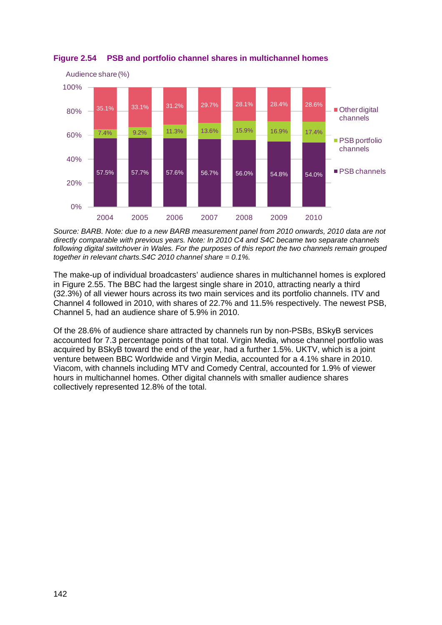

<span id="page-47-0"></span>**Figure 2.54 PSB and portfolio channel shares in multichannel homes**

*Source: BARB. Note: due to a new BARB measurement panel from 2010 onwards, 2010 data are not directly comparable with previous years. Note: In 2010 C4 and S4C became two separate channels following digital switchover in Wales. For the purposes of this report the two channels remain grouped together in relevant charts.S4C 2010 channel share = 0.1%.*

The make-up of individual broadcasters' audience shares in multichannel homes is explored in [Figure 2.55.](#page-48-0) The BBC had the largest single share in 2010, attracting nearly a third (32.3%) of all viewer hours across its two main services and its portfolio channels. ITV and Channel 4 followed in 2010, with shares of 22.7% and 11.5% respectively. The newest PSB, Channel 5, had an audience share of 5.9% in 2010.

Of the 28.6% of audience share attracted by channels run by non-PSBs, BSkyB services accounted for 7.3 percentage points of that total. Virgin Media, whose channel portfolio was acquired by BSkyB toward the end of the year, had a further 1.5%. UKTV, which is a joint venture between BBC Worldwide and Virgin Media, accounted for a 4.1% share in 2010. Viacom, with channels including MTV and Comedy Central, accounted for 1.9% of viewer hours in multichannel homes. Other digital channels with smaller audience shares collectively represented 12.8% of the total.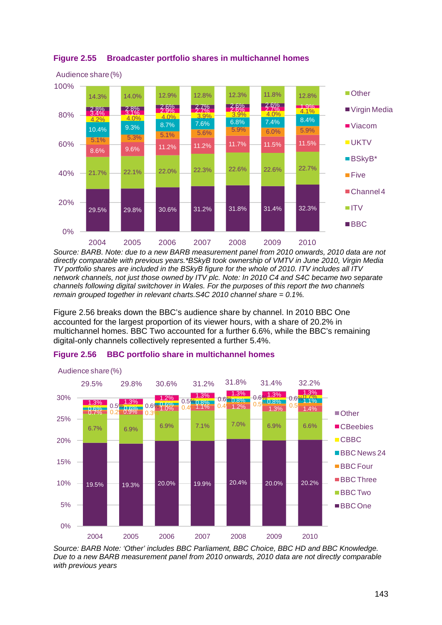

# <span id="page-48-0"></span>**Figure 2.55 Broadcaster portfolio shares in multichannel homes**

*Source: BARB. Note: due to a new BARB measurement panel from 2010 onwards, 2010 data are not directly comparable with previous years.\*BSkyB took ownership of VMTV in June 2010, Virgin Media TV portfolio shares are included in the BSkyB figure for the whole of 2010. ITV includes all ITV network channels, not just those owned by ITV plc. Note: In 2010 C4 and S4C became two separate channels following digital switchover in Wales. For the purposes of this report the two channels remain grouped together in relevant charts.S4C 2010 channel share = 0.1%.*

[Figure 2.56](#page-48-1) breaks down the BBC's audience share by channel. In 2010 BBC One accounted for the largest proportion of its viewer hours, with a share of 20.2% in multichannel homes. BBC Two accounted for a further 6.6%, while the BBC's remaining digital-only channels collectively represented a further 5.4%.



#### <span id="page-48-1"></span>**Figure 2.56 BBC portfolio share in multichannel homes**

*Source: BARB Note: 'Other' includes BBC Parliament, BBC Choice, BBC HD and BBC Knowledge. Due to a new BARB measurement panel from 2010 onwards, 2010 data are not directly comparable with previous years*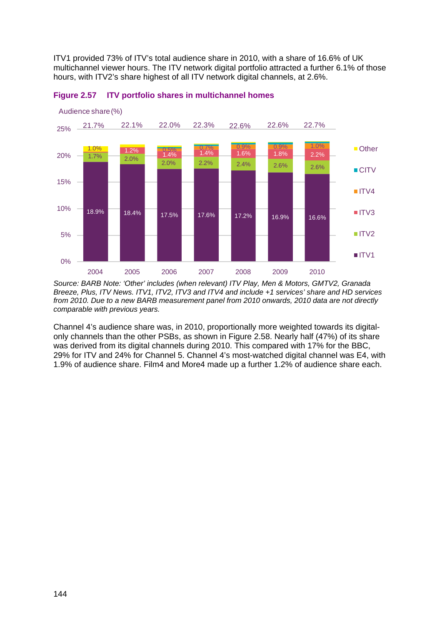ITV1 provided 73% of ITV's total audience share in 2010, with a share of 16.6% of UK multichannel viewer hours. The ITV network digital portfolio attracted a further 6.1% of those hours, with ITV2's share highest of all ITV network digital channels, at 2.6%.





*Source: BARB Note: 'Other' includes (when relevant) ITV Play, Men & Motors, GMTV2, Granada Breeze, Plus, ITV News. ITV1, ITV2, ITV3 and ITV4 and include +1 services' share and HD services from 2010. Due to a new BARB measurement panel from 2010 onwards, 2010 data are not directly comparable with previous years.*

Channel 4's audience share was, in 2010, proportionally more weighted towards its digitalonly channels than the other PSBs, as shown in [Figure 2.58.](#page-50-0) Nearly half (47%) of its share was derived from its digital channels during 2010. This compared with 17% for the BBC. 29% for ITV and 24% for Channel 5. Channel 4's most-watched digital channel was E4, with 1.9% of audience share. Film4 and More4 made up a further 1.2% of audience share each.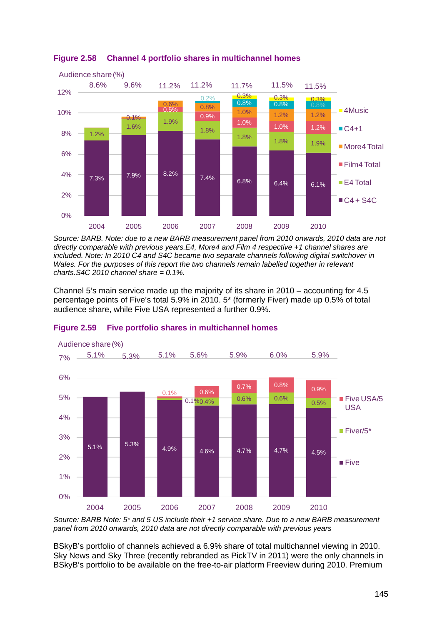

# <span id="page-50-0"></span>**Figure 2.58 Channel 4 portfolio shares in multichannel homes**

*Source: BARB. Note: due to a new BARB measurement panel from 2010 onwards, 2010 data are not directly comparable with previous years.E4, More4 and Film 4 respective +1 channel shares are included. Note: In 2010 C4 and S4C became two separate channels following digital switchover in*  Wales. For the purposes of this report the two channels remain labelled together in relevant *charts.S4C 2010 channel share = 0.1%.*

Channel 5's main service made up the majority of its share in 2010 – accounting for 4.5 percentage points of Five's total 5.9% in 2010. 5\* (formerly Fiver) made up 0.5% of total audience share, while Five USA represented a further 0.9%.



#### **Figure 2.59 Five portfolio shares in multichannel homes**

*Source: BARB Note: 5\* and 5 US include their +1 service share. Due to a new BARB measurement panel from 2010 onwards, 2010 data are not directly comparable with previous years*

BSkyB's portfolio of channels achieved a 6.9% share of total multichannel viewing in 2010. Sky News and Sky Three (recently rebranded as PickTV in 2011) were the only channels in BSkyB's portfolio to be available on the free-to-air platform Freeview during 2010. Premium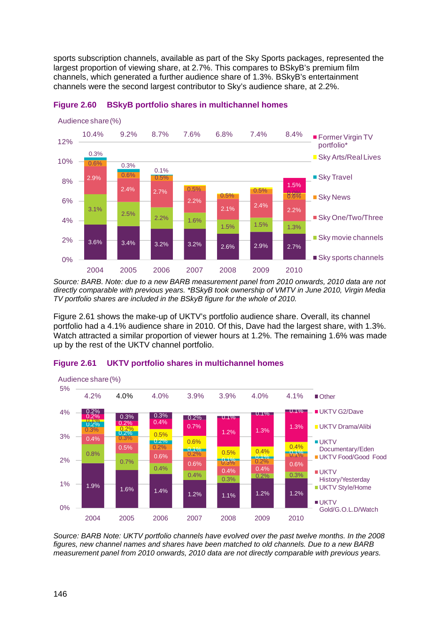sports subscription channels, available as part of the Sky Sports packages, represented the largest proportion of viewing share, at 2.7%. This compares to BSkyB's premium film channels, which generated a further audience share of 1.3%. BSkyB's entertainment channels were the second largest contributor to Sky's audience share, at 2.2%.



#### **Figure 2.60 BSkyB portfolio shares in multichannel homes**

*Source: BARB. Note: due to a new BARB measurement panel from 2010 onwards, 2010 data are not directly comparable with previous years. \*BSkyB took ownership of VMTV in June 2010, Virgin Media TV portfolio shares are included in the BSkyB figure for the whole of 2010.*

[Figure 2.61](#page-51-0) shows the make-up of UKTV's portfolio audience share. Overall, its channel portfolio had a 4.1% audience share in 2010. Of this, Dave had the largest share, with 1.3%. Watch attracted a similar proportion of viewer hours at 1.2%. The remaining 1.6% was made up by the rest of the UKTV channel portfolio.



## <span id="page-51-0"></span>**Figure 2.61 UKTV portfolio shares in multichannel homes**

*Source: BARB Note: UKTV portfolio channels have evolved over the past twelve months. In the 2008 figures, new channel names and shares have been matched to old channels. Due to a new BARB measurement panel from 2010 onwards, 2010 data are not directly comparable with previous years.*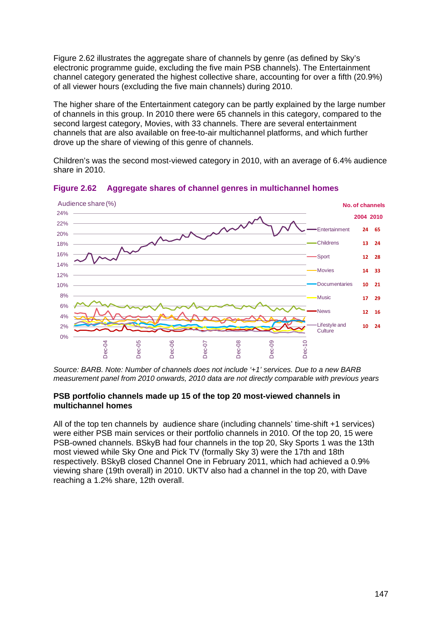[Figure 2.62](#page-52-0) illustrates the aggregate share of channels by genre (as defined by Sky's electronic programme guide, excluding the five main PSB channels). The Entertainment channel category generated the highest collective share, accounting for over a fifth (20.9%) of all viewer hours (excluding the five main channels) during 2010.

The higher share of the Entertainment category can be partly explained by the large number of channels in this group. In 2010 there were 65 channels in this category, compared to the second largest category, Movies, with 33 channels. There are several entertainment channels that are also available on free-to-air multichannel platforms, and which further drove up the share of viewing of this genre of channels.

Children's was the second most-viewed category in 2010, with an average of 6.4% audience share in 2010.



<span id="page-52-0"></span>**Figure 2.62 Aggregate shares of channel genres in multichannel homes**

*Source: BARB. Note: Number of channels does not include '+1' services. Due to a new BARB measurement panel from 2010 onwards, 2010 data are not directly comparable with previous years*

## **PSB portfolio channels made up 15 of the top 20 most-viewed channels in multichannel homes**

All of the top ten channels by audience share (including channels' time-shift +1 services) were either PSB main services or their portfolio channels in 2010. Of the top 20, 15 were PSB-owned channels. BSkyB had four channels in the top 20, Sky Sports 1 was the 13th most viewed while Sky One and Pick TV (formally Sky 3) were the 17th and 18th respectively. BSkyB closed Channel One in February 2011, which had achieved a 0.9% viewing share (19th overall) in 2010. UKTV also had a channel in the top 20, with Dave reaching a 1.2% share, 12th overall.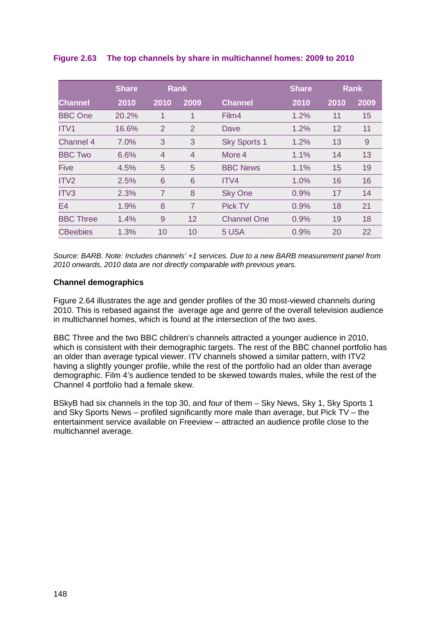|                  | <b>Share</b> | <b>Rank</b>    |                |                     | <b>Share</b> | <b>Rank</b> |      |
|------------------|--------------|----------------|----------------|---------------------|--------------|-------------|------|
| <b>Channel</b>   | 2010         | 2010           | 2009           | <b>Channel</b>      | 2010         | 2010        | 2009 |
| <b>BBC</b> One   | 20.2%        | 1              | 1              | Film4               | 1.2%         | 11          | 15   |
| ITV <sub>1</sub> | 16.6%        | $\overline{2}$ | $\overline{2}$ | Dave                | 1.2%         | 12          | 11   |
| Channel 4        | 7.0%         | 3              | 3              | <b>Sky Sports 1</b> | 1.2%         | 13          | 9    |
| <b>BBC Two</b>   | 6.6%         | $\overline{4}$ | $\overline{4}$ | More 4              | 1.1%         | 14          | 13   |
| <b>Five</b>      | 4.5%         | 5              | 5              | <b>BBC News</b>     | 1.1%         | 15          | 19   |
| ITV <sub>2</sub> | 2.5%         | 6              | 6              | ITV4                | 1.0%         | 16          | 16   |
| ITV3             | 2.3%         | 7              | 8              | <b>Sky One</b>      | 0.9%         | 17          | 14   |
| E <sub>4</sub>   | 1.9%         | 8              | 7              | <b>Pick TV</b>      | 0.9%         | 18          | 21   |
| <b>BBC Three</b> | 1.4%         | 9              | 12             | <b>Channel One</b>  | 0.9%         | 19          | 18   |
| <b>CBeebies</b>  | 1.3%         | 10             | 10             | 5 USA               | 0.9%         | 20          | 22   |

**Figure 2.63 The top channels by share in multichannel homes: 2009 to 2010**

*Source: BARB. Note: Includes channels' +1 services. Due to a new BARB measurement panel from 2010 onwards, 2010 data are not directly comparable with previous years.*

# **Channel demographics**

[Figure 2.64](#page-54-1) illustrates the age and gender profiles of the 30 most-viewed channels during 2010. This is rebased against the average age and genre of the overall television audience in multichannel homes, which is found at the intersection of the two axes.

BBC Three and the two BBC children's channels attracted a younger audience in 2010, which is consistent with their demographic targets. The rest of the BBC channel portfolio has an older than average typical viewer. ITV channels showed a similar pattern, with ITV2 having a slightly younger profile, while the rest of the portfolio had an older than average demographic. Film 4's audience tended to be skewed towards males, while the rest of the Channel 4 portfolio had a female skew.

BSkyB had six channels in the top 30, and four of them – Sky News, Sky 1, Sky Sports 1 and Sky Sports News – profiled significantly more male than average, but Pick TV – the entertainment service available on Freeview – attracted an audience profile close to the multichannel average.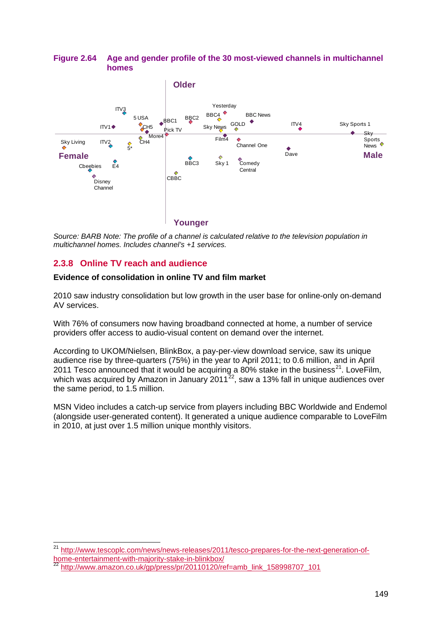# <span id="page-54-1"></span>**Figure 2.64 Age and gender profile of the 30 most-viewed channels in multichannel homes**



*Source: BARB Note: The profile of a channel is calculated relative to the television population in multichannel homes. Includes channel's +1 services.*

# <span id="page-54-0"></span>**2.3.8 Online TV reach and audience**

# **Evidence of consolidation in online TV and film market**

2010 saw industry consolidation but low growth in the user base for online-only on-demand AV services.

With 76% of consumers now having broadband connected at home, a number of service providers offer access to audio-visual content on demand over the internet.

According to UKOM/Nielsen, BlinkBox, a pay-per-view download service, saw its unique audience rise by three-quarters (75%) in the year to April 2011; to 0.6 million, and in April 2011 Tesco announced that it would be acquiring a 80% stake in the business<sup>[21](#page-54-2)</sup>. LoveFilm, which was acquired by Amazon in January 2011 $^{22}$  $^{22}$  $^{22}$ , saw a 13% fall in unique audiences over the same period, to 1.5 million.

MSN Video includes a catch-up service from players including BBC Worldwide and Endemol (alongside user-generated content). It generated a unique audience comparable to LoveFilm in 2010, at just over 1.5 million unique monthly visitors.

<span id="page-54-2"></span> <sup>21</sup> [http://www.tescoplc.com/news/news-releases/2011/tesco-prepares-for-the-next-generation-of](http://www.tescoplc.com/news/news-releases/2011/tesco-prepares-for-the-next-generation-of-home-entertainment-with-majority-stake-in-blinkbox/)[home-entertainment-with-majority-stake-in-blinkbox/](http://www.tescoplc.com/news/news-releases/2011/tesco-prepares-for-the-next-generation-of-home-entertainment-with-majority-stake-in-blinkbox/)

<span id="page-54-3"></span><sup>22</sup> [http://www.amazon.co.uk/gp/press/pr/20110120/ref=amb\\_link\\_158998707\\_101](http://www.amazon.co.uk/gp/press/pr/20110120/ref=amb_link_158998707_101)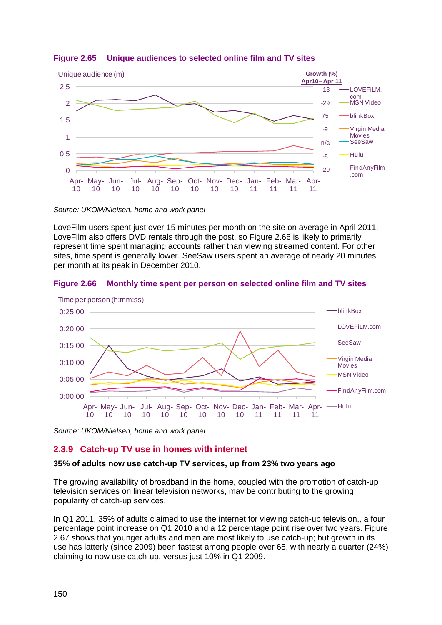

**Figure 2.65 Unique audiences to selected online film and TV sites**

*Source: UKOM/Nielsen, home and work panel*

LoveFilm users spent just over 15 minutes per month on the site on average in April 2011. LoveFilm also offers DVD rentals through the post, so [Figure 2.66](#page-55-1) is likely to primarily represent time spent managing accounts rather than viewing streamed content. For other sites, time spent is generally lower. SeeSaw users spent an average of nearly 20 minutes per month at its peak in December 2010.

# <span id="page-55-1"></span>**Figure 2.66 Monthly time spent per person on selected online film and TV sites**



*Source: UKOM/Nielsen, home and work panel*

# <span id="page-55-0"></span>**2.3.9 Catch-up TV use in homes with internet**

# **35% of adults now use catch-up TV services, up from 23% two years ago**

The growing availability of broadband in the home, coupled with the promotion of catch-up television services on linear television networks, may be contributing to the growing popularity of catch-up services.

In Q1 2011, 35% of adults claimed to use the internet for viewing catch-up television,, a four percentage point increase on Q1 2010 and a 12 percentage point rise over two years. [Figure](#page-56-1)  [2.67](#page-56-1) shows that younger adults and men are most likely to use catch-up; but growth in its use has latterly (since 2009) been fastest among people over 65, with nearly a quarter (24%) claiming to now use catch-up, versus just 10% in Q1 2009.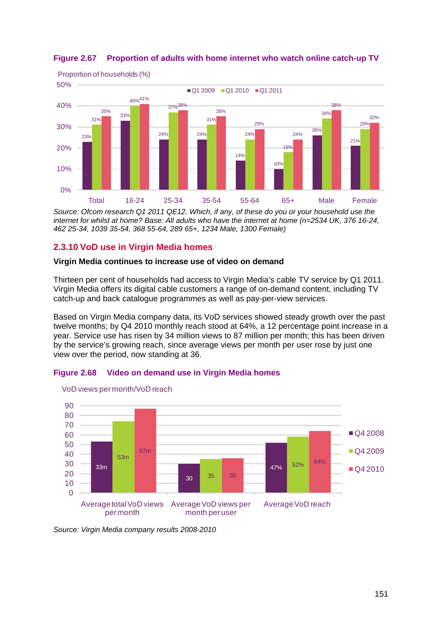

# <span id="page-56-1"></span>**Figure 2.67 Proportion of adults with home internet who watch online catch-up TV**

*Source: Ofcom research Q1 2011 QE12. Which, if any, of these do you or your household use the internet for whilst at home? Base: All adults who have the internet at home (n=2534 UK, 376 16-24, 462 25-34, 1039 35-54, 368 55-64, 289 65+, 1234 Male, 1300 Female)*

# <span id="page-56-0"></span>**2.3.10 VoD use in Virgin Media homes**

# **Virgin Media continues to increase use of video on demand**

**Figure 2.68 Video on demand use in Virgin Media homes**

Thirteen per cent of households had access to Virgin Media's cable TV service by Q1 2011. Virgin Media offers its digital cable customers a range of on-demand content, including TV catch-up and back catalogue programmes as well as pay-per-view services.

Based on Virgin Media company data, its VoD services showed steady growth over the past twelve months; by Q4 2010 monthly reach stood at 64%, a 12 percentage point increase in a year. Service use has risen by 34 million views to 87 million per month; this has been driven by the service's growing reach, since average views per month per user rose by just one view over the period, now standing at 36.





*Source: Virgin Media company results 2008-2010*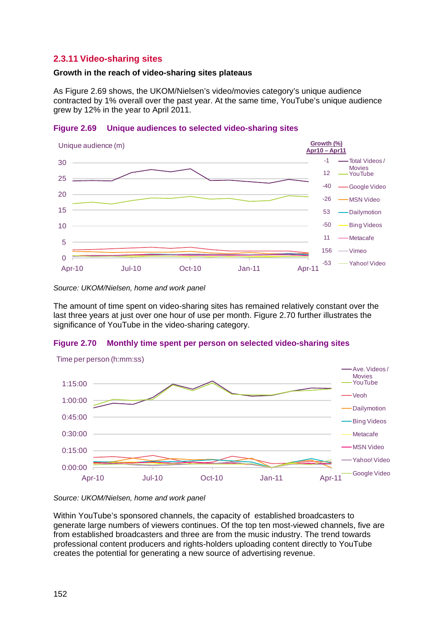# <span id="page-57-0"></span>**2.3.11 Video-sharing sites**

## **Growth in the reach of video-sharing sites plateaus**

As [Figure 2.69](#page-57-1) shows, the UKOM/Nielsen's video/movies category's unique audience contracted by 1% overall over the past year. At the same time, YouTube's unique audience grew by 12% in the year to April 2011.

## <span id="page-57-1"></span>**Figure 2.69 Unique audiences to selected video-sharing sites**



*Source: UKOM/Nielsen, home and work panel*

The amount of time spent on video-sharing sites has remained relatively constant over the last three years at just over one hour of use per month. [Figure 2.70](#page-57-2) further illustrates the significance of YouTube in the video-sharing category.

# <span id="page-57-2"></span>**Figure 2.70 Monthly time spent per person on selected video-sharing sites**



*Source: UKOM/Nielsen, home and work panel*

Within YouTube's sponsored channels, the capacity of established broadcasters to generate large numbers of viewers continues. Of the top ten most-viewed channels, five are from established broadcasters and three are from the music industry. The trend towards professional content producers and rights-holders uploading content directly to YouTube creates the potential for generating a new source of advertising revenue.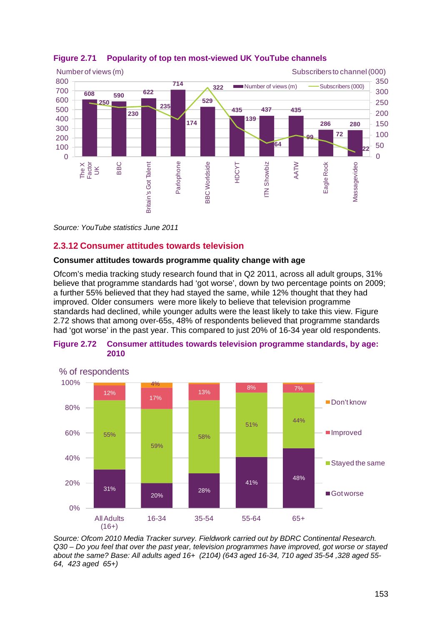

# **Figure 2.71 Popularity of top ten most-viewed UK YouTube channels**

*Source: YouTube statistics June 2011*

# <span id="page-58-0"></span>**2.3.12 Consumer attitudes towards television**

# **Consumer attitudes towards programme quality change with age**

Ofcom's media tracking study research found that in Q2 2011, across all adult groups, 31% believe that programme standards had 'got worse', down by two percentage points on 2009; a further 55% believed that they had stayed the same, while 12% thought that they had improved. Older consumers were more likely to believe that television programme standards had declined, while younger adults were the least likely to take this view. [Figure](#page-58-1)  [2.72](#page-58-1) shows that among over-65s, 48% of respondents believed that programme standards had 'got worse' in the past year. This compared to just 20% of 16-34 year old respondents.



## <span id="page-58-1"></span>**Figure 2.72 Consumer attitudes towards television programme standards, by age: 2010**

*Source: Ofcom 2010 Media Tracker survey. Fieldwork carried out by BDRC Continental Research. Q30 – Do you feel that over the past year, television programmes have improved, got worse or stayed about the same? Base: All adults aged 16+ (2104) (643 aged 16-34, 710 aged 35-54 ,328 aged 55- 64, 423 aged 65+)*